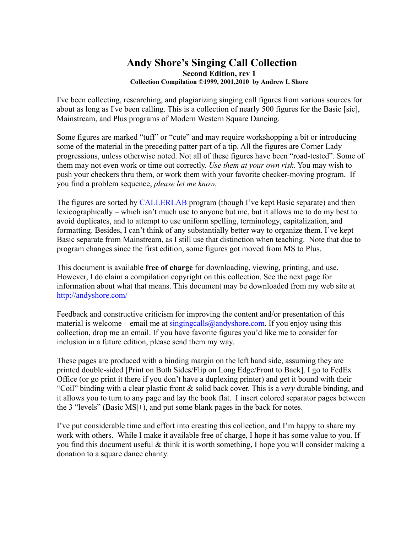#### **Andy Shore's Singing Call Collection Second Edition, rev 1 Collection Compilation ©1999, 2001,2010 by Andrew I. Shore**

I've been collecting, researching, and plagiarizing singing call figures from various sources for about as long as I've been calling. This is a collection of nearly 500 figures for the Basic [sic], Mainstream, and Plus programs of Modern Western Square Dancing.

Some figures are marked "tuff" or "cute" and may require workshopping a bit or introducing some of the material in the preceding patter part of a tip. All the figures are Corner Lady progressions, unless otherwise noted. Not all of these figures have been "road-tested". Some of them may not even work or time out correctly. *Use them at your own risk.* You may wish to push your checkers thru them, or work them with your favorite checker-moving program. If you find a problem sequence, *please let me know.*

The figures are sorted by **CALLERLAB** program (though I've kept Basic separate) and then lexicographically – which isn't much use to anyone but me, but it allows me to do my best to avoid duplicates, and to attempt to use uniform spelling, terminology, capitalization, and formatting. Besides, I can't think of any substantially better way to organize them. I've kept Basic separate from Mainstream, as I still use that distinction when teaching. Note that due to program changes since the first edition, some figures got moved from MS to Plus.

This document is available **free of charge** for downloading, viewing, printing, and use. However, I do claim a compilation copyright on this collection. See the next page for information about what that means. This document may be downloaded from my web site at http://andyshore.com/

Feedback and constructive criticism for improving the content and/or presentation of this material is welcome – email me at singingcalls@andyshore.com. If you enjoy using this collection, drop me an email. If you have favorite figures you'd like me to consider for inclusion in a future edition, please send them my way.

These pages are produced with a binding margin on the left hand side, assuming they are printed double-sided [Print on Both Sides/Flip on Long Edge/Front to Back]. I go to FedEx Office (or go print it there if you don't have a duplexing printer) and get it bound with their "Coil" binding with a clear plastic front & solid back cover. This is a *very* durable binding, and it allows you to turn to any page and lay the book flat. I insert colored separator pages between the 3 "levels" (Basic|MS|+), and put some blank pages in the back for notes.

I've put considerable time and effort into creating this collection, and I'm happy to share my work with others. While I make it available free of charge, I hope it has some value to you. If you find this document useful & think it is worth something, I hope you will consider making a donation to a square dance charity*.*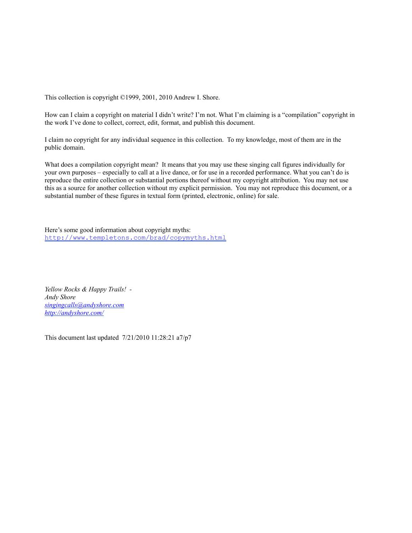This collection is copyright ©1999, 2001, 2010 Andrew I. Shore.

How can I claim a copyright on material I didn't write? I'm not. What I'm claiming is a "compilation" copyright in the work I've done to collect, correct, edit, format, and publish this document.

I claim no copyright for any individual sequence in this collection. To my knowledge, most of them are in the public domain.

What does a compilation copyright mean? It means that you may use these singing call figures individually for your own purposes – especially to call at a live dance, or for use in a recorded performance. What you can't do is reproduce the entire collection or substantial portions thereof without my copyright attribution. You may not use this as a source for another collection without my explicit permission. You may not reproduce this document, or a substantial number of these figures in textual form (printed, electronic, online) for sale.

Here's some good information about copyright myths: http://www.templetons.com/brad/copymyths.html

*Yellow Rocks & Happy Trails! - Andy Shore singingcalls@andyshore.com http://andyshore.com/*

This document last updated 7/21/2010 11:28:21 a7/p7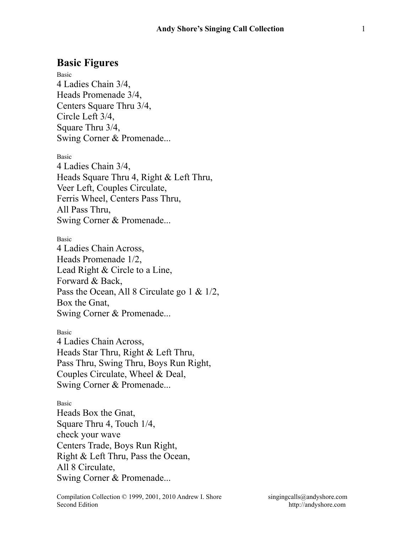## **Basic Figures**

Basic 4 Ladies Chain 3/4, Heads Promenade 3/4, Centers Square Thru 3/4, Circle Left 3/4, Square Thru 3/4, Swing Corner & Promenade...

Basic 4 Ladies Chain 3/4, Heads Square Thru 4, Right & Left Thru, Veer Left, Couples Circulate, Ferris Wheel, Centers Pass Thru, All Pass Thru, Swing Corner & Promenade...

Basic 4 Ladies Chain Across, Heads Promenade 1/2, Lead Right & Circle to a Line, Forward & Back, Pass the Ocean, All 8 Circulate go 1 & 1/2, Box the Gnat, Swing Corner & Promenade...

Basic 4 Ladies Chain Across, Heads Star Thru, Right & Left Thru, Pass Thru, Swing Thru, Boys Run Right, Couples Circulate, Wheel & Deal, Swing Corner & Promenade...

Basic Heads Box the Gnat, Square Thru 4, Touch 1/4, check your wave Centers Trade, Boys Run Right, Right & Left Thru, Pass the Ocean, All 8 Circulate, Swing Corner & Promenade...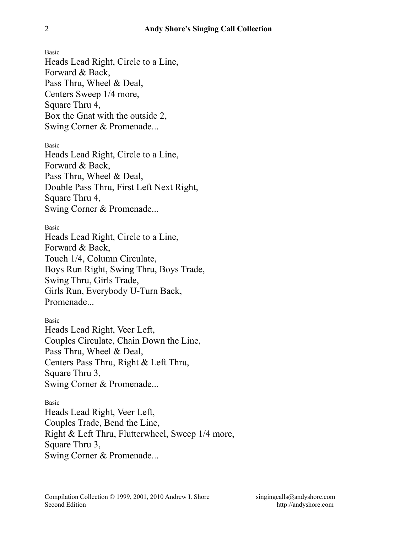Basic Heads Lead Right, Circle to a Line, Forward & Back, Pass Thru, Wheel & Deal, Centers Sweep 1/4 more, Square Thru 4, Box the Gnat with the outside 2, Swing Corner & Promenade...

Basic

Heads Lead Right, Circle to a Line, Forward & Back, Pass Thru, Wheel & Deal, Double Pass Thru, First Left Next Right, Square Thru 4, Swing Corner & Promenade...

Basic

Heads Lead Right, Circle to a Line, Forward & Back, Touch 1/4, Column Circulate, Boys Run Right, Swing Thru, Boys Trade, Swing Thru, Girls Trade, Girls Run, Everybody U-Turn Back, Promenade...

Basic Heads Lead Right, Veer Left, Couples Circulate, Chain Down the Line, Pass Thru, Wheel & Deal, Centers Pass Thru, Right & Left Thru, Square Thru 3, Swing Corner & Promenade...

Basic Heads Lead Right, Veer Left, Couples Trade, Bend the Line, Right & Left Thru, Flutterwheel, Sweep 1/4 more, Square Thru 3, Swing Corner & Promenade...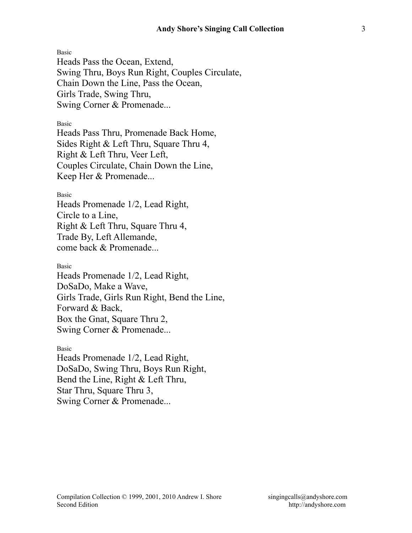Heads Pass the Ocean, Extend, Swing Thru, Boys Run Right, Couples Circulate, Chain Down the Line, Pass the Ocean, Girls Trade, Swing Thru, Swing Corner & Promenade...

Basic

Heads Pass Thru, Promenade Back Home, Sides Right & Left Thru, Square Thru 4, Right & Left Thru, Veer Left, Couples Circulate, Chain Down the Line, Keep Her & Promenade...

Basic

Heads Promenade 1/2, Lead Right, Circle to a Line, Right & Left Thru, Square Thru 4, Trade By, Left Allemande, come back & Promenade...

Basic

Heads Promenade 1/2, Lead Right, DoSaDo, Make a Wave, Girls Trade, Girls Run Right, Bend the Line, Forward & Back, Box the Gnat, Square Thru 2, Swing Corner & Promenade...

Basic Heads Promenade 1/2, Lead Right, DoSaDo, Swing Thru, Boys Run Right, Bend the Line, Right & Left Thru, Star Thru, Square Thru 3, Swing Corner & Promenade...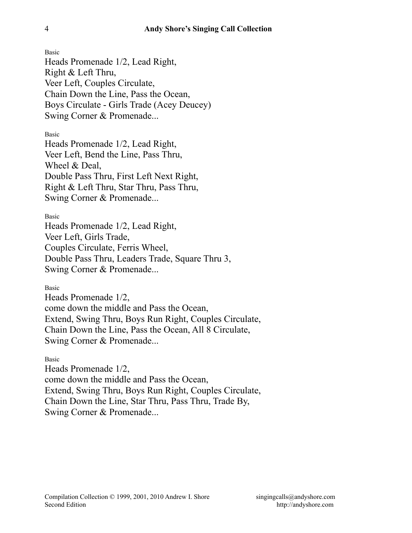Heads Promenade 1/2, Lead Right, Right & Left Thru, Veer Left, Couples Circulate, Chain Down the Line, Pass the Ocean, Boys Circulate - Girls Trade (Acey Deucey) Swing Corner & Promenade...

Basic

Heads Promenade 1/2, Lead Right, Veer Left, Bend the Line, Pass Thru, Wheel & Deal, Double Pass Thru, First Left Next Right, Right & Left Thru, Star Thru, Pass Thru, Swing Corner & Promenade...

Basic

Heads Promenade 1/2, Lead Right, Veer Left, Girls Trade, Couples Circulate, Ferris Wheel, Double Pass Thru, Leaders Trade, Square Thru 3, Swing Corner & Promenade...

Basic

Heads Promenade 1/2, come down the middle and Pass the Ocean, Extend, Swing Thru, Boys Run Right, Couples Circulate, Chain Down the Line, Pass the Ocean, All 8 Circulate, Swing Corner & Promenade...

Basic

Heads Promenade 1/2, come down the middle and Pass the Ocean, Extend, Swing Thru, Boys Run Right, Couples Circulate, Chain Down the Line, Star Thru, Pass Thru, Trade By, Swing Corner & Promenade...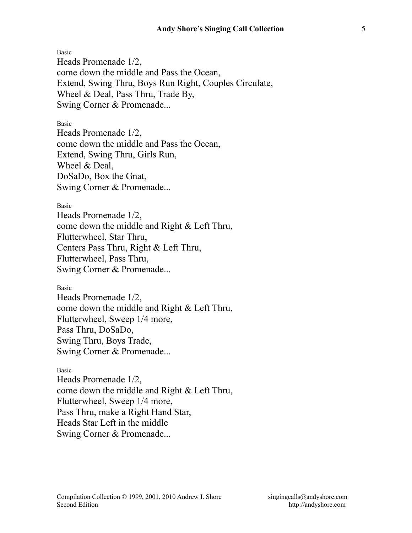Heads Promenade 1/2, come down the middle and Pass the Ocean, Extend, Swing Thru, Boys Run Right, Couples Circulate, Wheel & Deal, Pass Thru, Trade By, Swing Corner & Promenade...

#### Basic

Heads Promenade 1/2, come down the middle and Pass the Ocean, Extend, Swing Thru, Girls Run, Wheel & Deal, DoSaDo, Box the Gnat, Swing Corner & Promenade...

#### Basic

Heads Promenade 1/2, come down the middle and Right & Left Thru, Flutterwheel, Star Thru, Centers Pass Thru, Right & Left Thru, Flutterwheel, Pass Thru, Swing Corner & Promenade...

#### Basic

Heads Promenade 1/2, come down the middle and Right & Left Thru, Flutterwheel, Sweep 1/4 more, Pass Thru, DoSaDo, Swing Thru, Boys Trade, Swing Corner & Promenade...

#### Basic

Heads Promenade 1/2, come down the middle and Right & Left Thru, Flutterwheel, Sweep 1/4 more, Pass Thru, make a Right Hand Star, Heads Star Left in the middle Swing Corner & Promenade...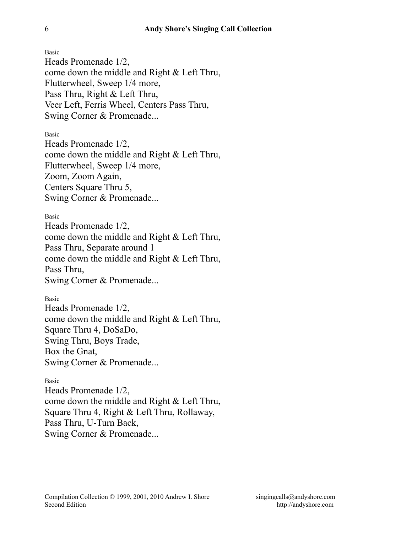Heads Promenade 1/2, come down the middle and Right & Left Thru, Flutterwheel, Sweep 1/4 more, Pass Thru, Right & Left Thru, Veer Left, Ferris Wheel, Centers Pass Thru, Swing Corner & Promenade...

Basic

Heads Promenade 1/2, come down the middle and Right & Left Thru, Flutterwheel, Sweep 1/4 more, Zoom, Zoom Again, Centers Square Thru 5, Swing Corner & Promenade...

Basic

Heads Promenade 1/2, come down the middle and Right & Left Thru, Pass Thru, Separate around 1 come down the middle and Right & Left Thru, Pass Thru, Swing Corner & Promenade...

Basic

Heads Promenade 1/2, come down the middle and Right & Left Thru, Square Thru 4, DoSaDo, Swing Thru, Boys Trade, Box the Gnat, Swing Corner & Promenade...

Basic

Heads Promenade 1/2, come down the middle and Right & Left Thru, Square Thru 4, Right & Left Thru, Rollaway, Pass Thru, U-Turn Back, Swing Corner & Promenade...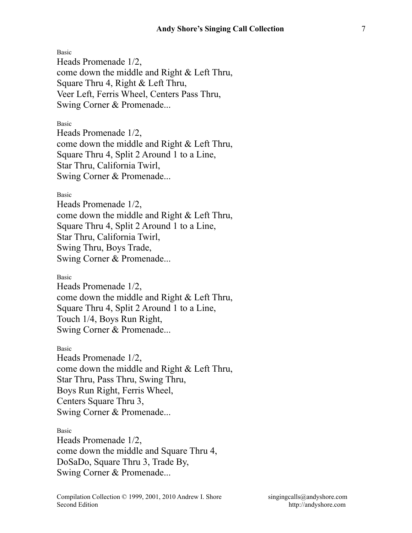Heads Promenade 1/2, come down the middle and Right & Left Thru, Square Thru 4, Right & Left Thru, Veer Left, Ferris Wheel, Centers Pass Thru, Swing Corner & Promenade...

#### Basic

Heads Promenade 1/2, come down the middle and Right & Left Thru, Square Thru 4, Split 2 Around 1 to a Line, Star Thru, California Twirl, Swing Corner & Promenade...

#### Basic

Heads Promenade 1/2, come down the middle and Right & Left Thru, Square Thru 4, Split 2 Around 1 to a Line, Star Thru, California Twirl, Swing Thru, Boys Trade, Swing Corner & Promenade...

#### Basic

Heads Promenade 1/2, come down the middle and Right & Left Thru, Square Thru 4, Split 2 Around 1 to a Line, Touch 1/4, Boys Run Right, Swing Corner & Promenade...

Basic

Heads Promenade 1/2, come down the middle and Right & Left Thru, Star Thru, Pass Thru, Swing Thru, Boys Run Right, Ferris Wheel, Centers Square Thru 3, Swing Corner & Promenade...

#### Basic

Heads Promenade 1/2, come down the middle and Square Thru 4, DoSaDo, Square Thru 3, Trade By, Swing Corner & Promenade...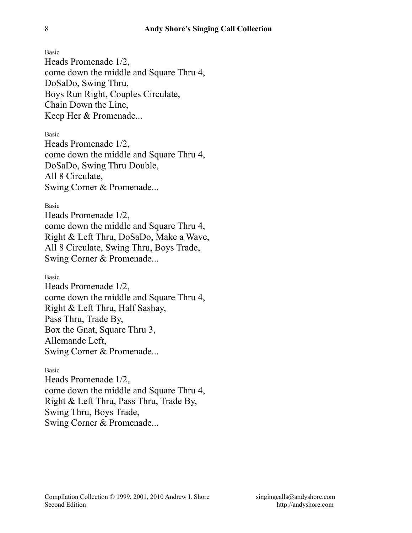Heads Promenade 1/2, come down the middle and Square Thru 4, DoSaDo, Swing Thru, Boys Run Right, Couples Circulate, Chain Down the Line, Keep Her & Promenade...

Basic

Heads Promenade 1/2, come down the middle and Square Thru 4, DoSaDo, Swing Thru Double, All 8 Circulate, Swing Corner & Promenade...

#### Basic

Heads Promenade 1/2, come down the middle and Square Thru 4, Right & Left Thru, DoSaDo, Make a Wave, All 8 Circulate, Swing Thru, Boys Trade, Swing Corner & Promenade...

#### Basic

Heads Promenade 1/2, come down the middle and Square Thru 4, Right & Left Thru, Half Sashay, Pass Thru, Trade By, Box the Gnat, Square Thru 3, Allemande Left, Swing Corner & Promenade...

#### Basic

Heads Promenade 1/2, come down the middle and Square Thru 4, Right & Left Thru, Pass Thru, Trade By, Swing Thru, Boys Trade, Swing Corner & Promenade...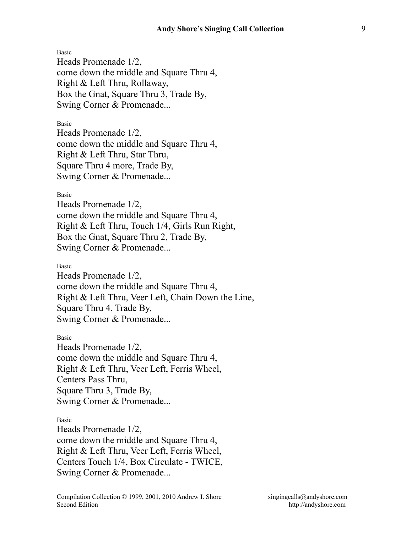Heads Promenade 1/2, come down the middle and Square Thru 4, Right & Left Thru, Rollaway, Box the Gnat, Square Thru 3, Trade By, Swing Corner & Promenade...

Basic

Heads Promenade 1/2, come down the middle and Square Thru 4, Right & Left Thru, Star Thru, Square Thru 4 more, Trade By, Swing Corner & Promenade...

Basic

Heads Promenade 1/2, come down the middle and Square Thru 4, Right & Left Thru, Touch 1/4, Girls Run Right, Box the Gnat, Square Thru 2, Trade By, Swing Corner & Promenade...

Basic

Heads Promenade 1/2, come down the middle and Square Thru 4, Right & Left Thru, Veer Left, Chain Down the Line, Square Thru 4, Trade By, Swing Corner & Promenade...

Basic

Heads Promenade 1/2, come down the middle and Square Thru 4, Right & Left Thru, Veer Left, Ferris Wheel, Centers Pass Thru, Square Thru 3, Trade By, Swing Corner & Promenade...

#### Basic

Heads Promenade 1/2, come down the middle and Square Thru 4, Right & Left Thru, Veer Left, Ferris Wheel, Centers Touch 1/4, Box Circulate - TWICE, Swing Corner & Promenade...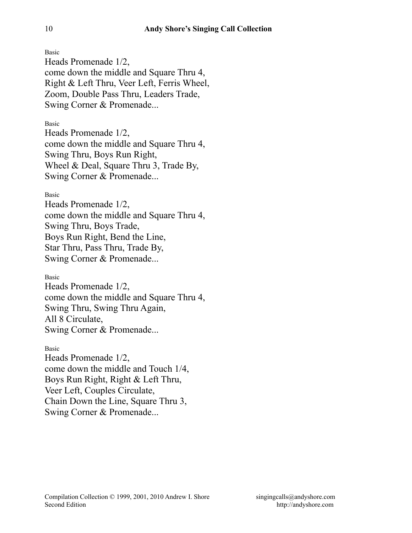Heads Promenade 1/2, come down the middle and Square Thru 4, Right & Left Thru, Veer Left, Ferris Wheel, Zoom, Double Pass Thru, Leaders Trade, Swing Corner & Promenade...

Basic

Heads Promenade 1/2, come down the middle and Square Thru 4, Swing Thru, Boys Run Right, Wheel & Deal, Square Thru 3, Trade By, Swing Corner & Promenade...

Basic

Heads Promenade 1/2, come down the middle and Square Thru 4, Swing Thru, Boys Trade, Boys Run Right, Bend the Line, Star Thru, Pass Thru, Trade By, Swing Corner & Promenade...

Basic

Heads Promenade 1/2, come down the middle and Square Thru 4, Swing Thru, Swing Thru Again, All 8 Circulate, Swing Corner & Promenade...

Basic Heads Promenade 1/2, come down the middle and Touch 1/4, Boys Run Right, Right & Left Thru, Veer Left, Couples Circulate, Chain Down the Line, Square Thru 3, Swing Corner & Promenade...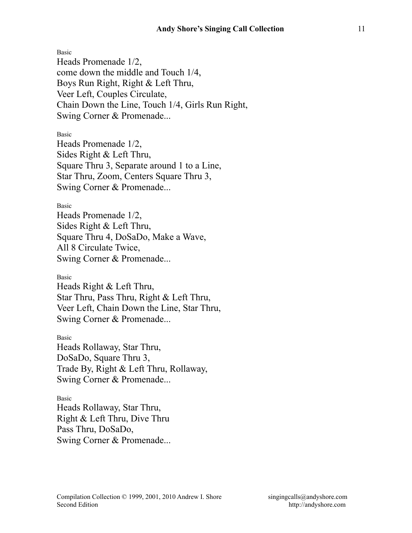Basic Heads Promenade 1/2, come down the middle and Touch 1/4, Boys Run Right, Right & Left Thru, Veer Left, Couples Circulate, Chain Down the Line, Touch 1/4, Girls Run Right, Swing Corner & Promenade...

#### Basic

Heads Promenade 1/2, Sides Right & Left Thru, Square Thru 3, Separate around 1 to a Line, Star Thru, Zoom, Centers Square Thru 3, Swing Corner & Promenade...

#### Basic

Heads Promenade 1/2, Sides Right & Left Thru, Square Thru 4, DoSaDo, Make a Wave, All 8 Circulate Twice, Swing Corner & Promenade...

#### Basic

Heads Right & Left Thru, Star Thru, Pass Thru, Right & Left Thru, Veer Left, Chain Down the Line, Star Thru, Swing Corner & Promenade...

Basic Heads Rollaway, Star Thru, DoSaDo, Square Thru 3, Trade By, Right & Left Thru, Rollaway, Swing Corner & Promenade...

Basic Heads Rollaway, Star Thru, Right & Left Thru, Dive Thru Pass Thru, DoSaDo, Swing Corner & Promenade...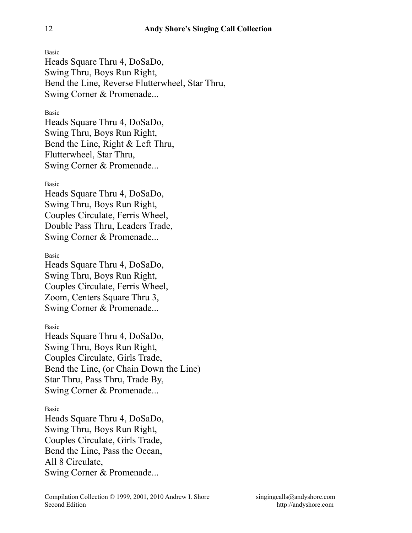Heads Square Thru 4, DoSaDo, Swing Thru, Boys Run Right, Bend the Line, Reverse Flutterwheel, Star Thru, Swing Corner & Promenade...

### Basic

Heads Square Thru 4, DoSaDo, Swing Thru, Boys Run Right, Bend the Line, Right & Left Thru, Flutterwheel, Star Thru, Swing Corner & Promenade...

### Basic

Heads Square Thru 4, DoSaDo, Swing Thru, Boys Run Right, Couples Circulate, Ferris Wheel, Double Pass Thru, Leaders Trade, Swing Corner & Promenade...

### Basic

Heads Square Thru 4, DoSaDo, Swing Thru, Boys Run Right, Couples Circulate, Ferris Wheel, Zoom, Centers Square Thru 3, Swing Corner & Promenade...

Basic

Heads Square Thru 4, DoSaDo, Swing Thru, Boys Run Right, Couples Circulate, Girls Trade, Bend the Line, (or Chain Down the Line) Star Thru, Pass Thru, Trade By, Swing Corner & Promenade...

### Basic

Heads Square Thru 4, DoSaDo, Swing Thru, Boys Run Right, Couples Circulate, Girls Trade, Bend the Line, Pass the Ocean, All 8 Circulate, Swing Corner & Promenade...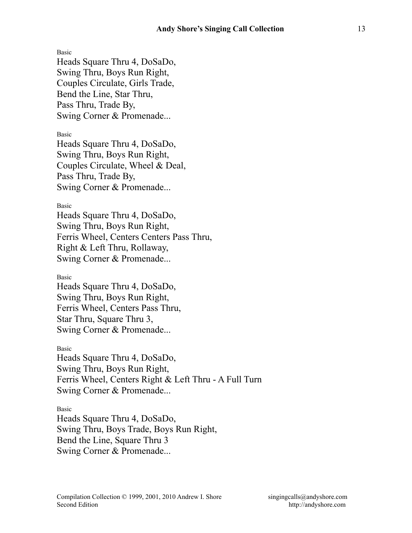Heads Square Thru 4, DoSaDo, Swing Thru, Boys Run Right, Couples Circulate, Girls Trade, Bend the Line, Star Thru, Pass Thru, Trade By, Swing Corner & Promenade...

Basic

Heads Square Thru 4, DoSaDo, Swing Thru, Boys Run Right, Couples Circulate, Wheel & Deal, Pass Thru, Trade By, Swing Corner & Promenade...

Basic

Heads Square Thru 4, DoSaDo, Swing Thru, Boys Run Right, Ferris Wheel, Centers Centers Pass Thru, Right & Left Thru, Rollaway, Swing Corner & Promenade...

Basic

Heads Square Thru 4, DoSaDo, Swing Thru, Boys Run Right, Ferris Wheel, Centers Pass Thru, Star Thru, Square Thru 3, Swing Corner & Promenade...

Basic

Heads Square Thru 4, DoSaDo, Swing Thru, Boys Run Right, Ferris Wheel, Centers Right & Left Thru - A Full Turn Swing Corner & Promenade...

Basic

Heads Square Thru 4, DoSaDo, Swing Thru, Boys Trade, Boys Run Right, Bend the Line, Square Thru 3 Swing Corner & Promenade...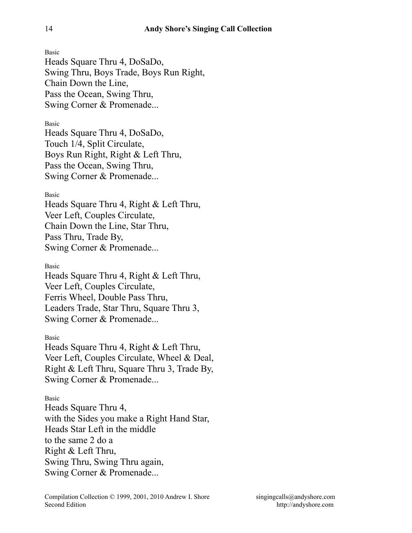Heads Square Thru 4, DoSaDo, Swing Thru, Boys Trade, Boys Run Right, Chain Down the Line, Pass the Ocean, Swing Thru, Swing Corner & Promenade...

Basic

Heads Square Thru 4, DoSaDo, Touch 1/4, Split Circulate, Boys Run Right, Right & Left Thru, Pass the Ocean, Swing Thru, Swing Corner & Promenade...

Basic

Heads Square Thru 4, Right & Left Thru, Veer Left, Couples Circulate, Chain Down the Line, Star Thru, Pass Thru, Trade By, Swing Corner & Promenade...

Basic

Heads Square Thru 4, Right & Left Thru, Veer Left, Couples Circulate, Ferris Wheel, Double Pass Thru, Leaders Trade, Star Thru, Square Thru 3, Swing Corner & Promenade...

Basic

Heads Square Thru 4, Right & Left Thru, Veer Left, Couples Circulate, Wheel & Deal, Right & Left Thru, Square Thru 3, Trade By, Swing Corner & Promenade...

Basic

Heads Square Thru 4, with the Sides you make a Right Hand Star, Heads Star Left in the middle to the same 2 do a Right & Left Thru, Swing Thru, Swing Thru again, Swing Corner & Promenade...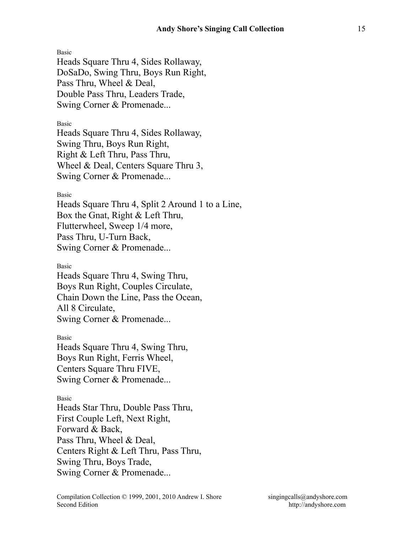Heads Square Thru 4, Sides Rollaway, DoSaDo, Swing Thru, Boys Run Right, Pass Thru, Wheel & Deal, Double Pass Thru, Leaders Trade, Swing Corner & Promenade...

Basic

Heads Square Thru 4, Sides Rollaway, Swing Thru, Boys Run Right, Right & Left Thru, Pass Thru, Wheel & Deal, Centers Square Thru 3, Swing Corner & Promenade...

Basic

Heads Square Thru 4, Split 2 Around 1 to a Line, Box the Gnat, Right & Left Thru, Flutterwheel, Sweep 1/4 more, Pass Thru, U-Turn Back, Swing Corner & Promenade...

Basic

Heads Square Thru 4, Swing Thru, Boys Run Right, Couples Circulate, Chain Down the Line, Pass the Ocean, All 8 Circulate, Swing Corner & Promenade...

Basic

Heads Square Thru 4, Swing Thru, Boys Run Right, Ferris Wheel, Centers Square Thru FIVE, Swing Corner & Promenade...

Basic

Heads Star Thru, Double Pass Thru, First Couple Left, Next Right, Forward & Back, Pass Thru, Wheel & Deal, Centers Right & Left Thru, Pass Thru, Swing Thru, Boys Trade, Swing Corner & Promenade...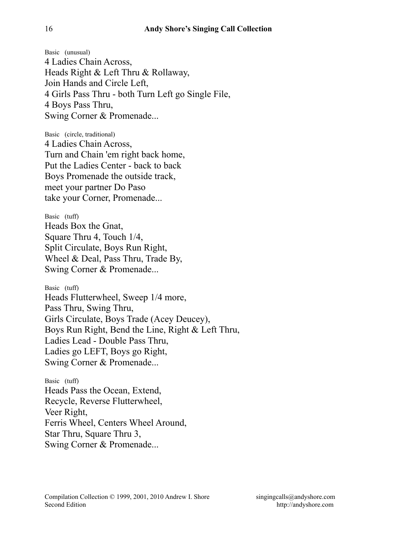Basic (unusual) 4 Ladies Chain Across, Heads Right & Left Thru & Rollaway, Join Hands and Circle Left, 4 Girls Pass Thru - both Turn Left go Single File, 4 Boys Pass Thru, Swing Corner & Promenade...

Basic (circle, traditional) 4 Ladies Chain Across, Turn and Chain 'em right back home, Put the Ladies Center - back to back Boys Promenade the outside track, meet your partner Do Paso take your Corner, Promenade...

Basic (tuff) Heads Box the Gnat, Square Thru 4, Touch 1/4, Split Circulate, Boys Run Right, Wheel & Deal, Pass Thru, Trade By, Swing Corner & Promenade...

Basic (tuff) Heads Flutterwheel, Sweep 1/4 more, Pass Thru, Swing Thru, Girls Circulate, Boys Trade (Acey Deucey), Boys Run Right, Bend the Line, Right & Left Thru, Ladies Lead - Double Pass Thru, Ladies go LEFT, Boys go Right, Swing Corner & Promenade...

Basic (tuff) Heads Pass the Ocean, Extend, Recycle, Reverse Flutterwheel, Veer Right, Ferris Wheel, Centers Wheel Around, Star Thru, Square Thru 3, Swing Corner & Promenade...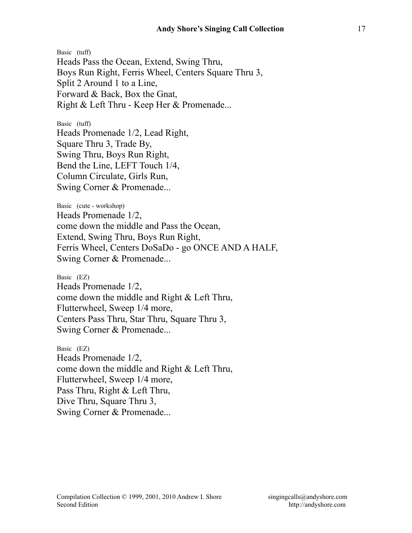Basic (tuff) Heads Pass the Ocean, Extend, Swing Thru, Boys Run Right, Ferris Wheel, Centers Square Thru 3, Split 2 Around 1 to a Line, Forward & Back, Box the Gnat, Right & Left Thru - Keep Her & Promenade...

Basic (tuff) Heads Promenade 1/2, Lead Right, Square Thru 3, Trade By, Swing Thru, Boys Run Right, Bend the Line, LEFT Touch 1/4, Column Circulate, Girls Run, Swing Corner & Promenade...

Basic (cute - workshop) Heads Promenade 1/2, come down the middle and Pass the Ocean, Extend, Swing Thru, Boys Run Right, Ferris Wheel, Centers DoSaDo - go ONCE AND A HALF, Swing Corner & Promenade...

Basic (EZ) Heads Promenade 1/2, come down the middle and Right & Left Thru, Flutterwheel, Sweep 1/4 more, Centers Pass Thru, Star Thru, Square Thru 3, Swing Corner & Promenade...

Basic (EZ) Heads Promenade 1/2, come down the middle and Right & Left Thru, Flutterwheel, Sweep 1/4 more, Pass Thru, Right & Left Thru, Dive Thru, Square Thru 3, Swing Corner & Promenade...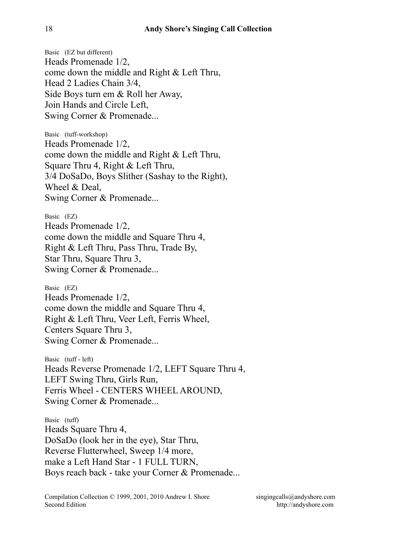Basic (EZ but different) Heads Promenade 1/2, come down the middle and Right & Left Thru, Head 2 Ladies Chain 3/4, Side Boys turn em & Roll her Away, Join Hands and Circle Left, Swing Corner & Promenade...

Basic (tuff-workshop) Heads Promenade 1/2, come down the middle and Right & Left Thru, Square Thru 4, Right & Left Thru, 3/4 DoSaDo, Boys Slither (Sashay to the Right), Wheel & Deal, Swing Corner & Promenade...

Basic (EZ) Heads Promenade 1/2, come down the middle and Square Thru 4, Right & Left Thru, Pass Thru, Trade By, Star Thru, Square Thru 3, Swing Corner & Promenade...

Basic (EZ) Heads Promenade 1/2, come down the middle and Square Thru 4, Right & Left Thru, Veer Left, Ferris Wheel, Centers Square Thru 3, Swing Corner & Promenade...

Basic (tuff - left) Heads Reverse Promenade 1/2, LEFT Square Thru 4, LEFT Swing Thru, Girls Run, Ferris Wheel - CENTERS WHEEL AROUND, Swing Corner & Promenade...

Basic (tuff) Heads Square Thru 4, DoSaDo (look her in the eye), Star Thru, Reverse Flutterwheel, Sweep 1/4 more, make a Left Hand Star - 1 FULL TURN, Boys reach back - take your Corner & Promenade...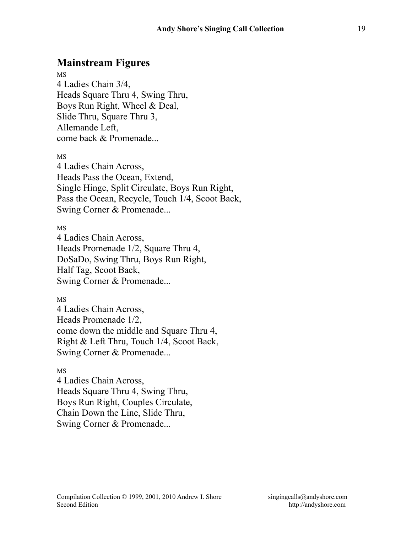# **Mainstream Figures**

MS 4 Ladies Chain 3/4, Heads Square Thru 4, Swing Thru, Boys Run Right, Wheel & Deal, Slide Thru, Square Thru 3, Allemande Left, come back & Promenade...

MS

4 Ladies Chain Across, Heads Pass the Ocean, Extend, Single Hinge, Split Circulate, Boys Run Right, Pass the Ocean, Recycle, Touch 1/4, Scoot Back, Swing Corner & Promenade...

MS

4 Ladies Chain Across, Heads Promenade 1/2, Square Thru 4, DoSaDo, Swing Thru, Boys Run Right, Half Tag, Scoot Back, Swing Corner & Promenade...

MS

4 Ladies Chain Across, Heads Promenade 1/2, come down the middle and Square Thru 4, Right & Left Thru, Touch 1/4, Scoot Back, Swing Corner & Promenade...

### MS

4 Ladies Chain Across, Heads Square Thru 4, Swing Thru, Boys Run Right, Couples Circulate, Chain Down the Line, Slide Thru, Swing Corner & Promenade...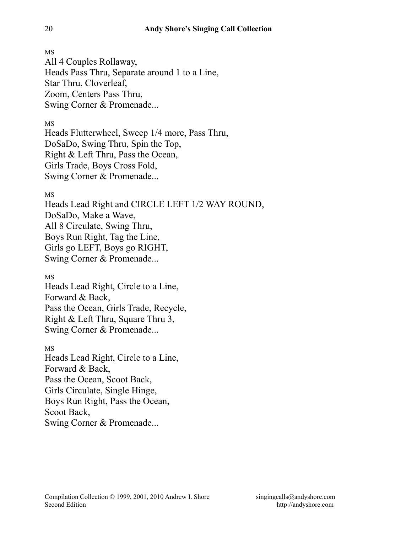All 4 Couples Rollaway, Heads Pass Thru, Separate around 1 to a Line, Star Thru, Cloverleaf, Zoom, Centers Pass Thru, Swing Corner & Promenade...

MS

Heads Flutterwheel, Sweep 1/4 more, Pass Thru, DoSaDo, Swing Thru, Spin the Top, Right & Left Thru, Pass the Ocean, Girls Trade, Boys Cross Fold, Swing Corner & Promenade...

MS

Heads Lead Right and CIRCLE LEFT 1/2 WAY ROUND, DoSaDo, Make a Wave, All 8 Circulate, Swing Thru, Boys Run Right, Tag the Line, Girls go LEFT, Boys go RIGHT, Swing Corner & Promenade...

MS

Heads Lead Right, Circle to a Line, Forward & Back, Pass the Ocean, Girls Trade, Recycle, Right & Left Thru, Square Thru 3, Swing Corner & Promenade...

MS Heads Lead Right, Circle to a Line, Forward & Back, Pass the Ocean, Scoot Back, Girls Circulate, Single Hinge, Boys Run Right, Pass the Ocean, Scoot Back, Swing Corner & Promenade...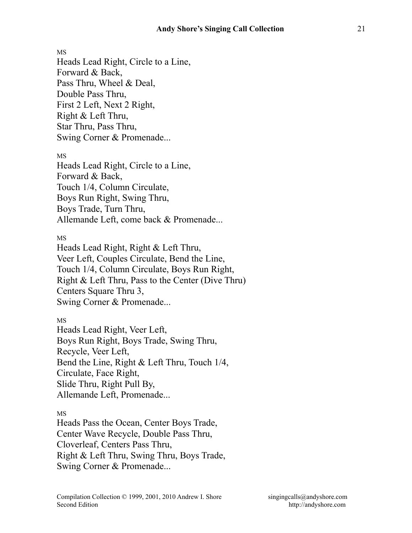MS Heads Lead Right, Circle to a Line, Forward & Back, Pass Thru, Wheel & Deal, Double Pass Thru, First 2 Left, Next 2 Right, Right & Left Thru, Star Thru, Pass Thru, Swing Corner & Promenade... MS

Heads Lead Right, Circle to a Line, Forward & Back, Touch 1/4, Column Circulate, Boys Run Right, Swing Thru, Boys Trade, Turn Thru, Allemande Left, come back & Promenade...

MS

Heads Lead Right, Right & Left Thru, Veer Left, Couples Circulate, Bend the Line, Touch 1/4, Column Circulate, Boys Run Right, Right & Left Thru, Pass to the Center (Dive Thru) Centers Square Thru 3, Swing Corner & Promenade...

MS

Heads Lead Right, Veer Left, Boys Run Right, Boys Trade, Swing Thru, Recycle, Veer Left, Bend the Line, Right & Left Thru, Touch 1/4, Circulate, Face Right, Slide Thru, Right Pull By, Allemande Left, Promenade...

MS

Heads Pass the Ocean, Center Boys Trade, Center Wave Recycle, Double Pass Thru, Cloverleaf, Centers Pass Thru, Right & Left Thru, Swing Thru, Boys Trade, Swing Corner & Promenade...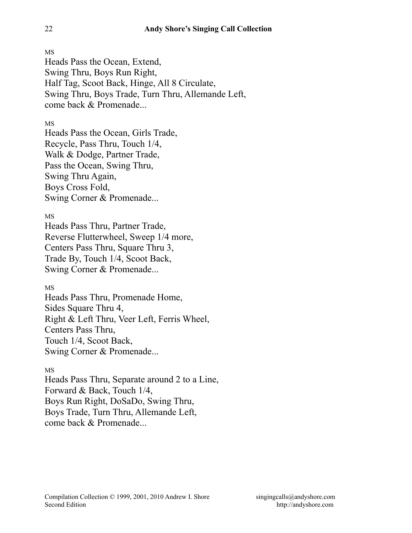Heads Pass the Ocean, Extend, Swing Thru, Boys Run Right, Half Tag, Scoot Back, Hinge, All 8 Circulate, Swing Thru, Boys Trade, Turn Thru, Allemande Left, come back & Promenade...

### MS

Heads Pass the Ocean, Girls Trade, Recycle, Pass Thru, Touch 1/4, Walk & Dodge, Partner Trade, Pass the Ocean, Swing Thru, Swing Thru Again, Boys Cross Fold, Swing Corner & Promenade...

MS

Heads Pass Thru, Partner Trade, Reverse Flutterwheel, Sweep 1/4 more, Centers Pass Thru, Square Thru 3, Trade By, Touch 1/4, Scoot Back, Swing Corner & Promenade...

### MS

Heads Pass Thru, Promenade Home, Sides Square Thru 4, Right & Left Thru, Veer Left, Ferris Wheel, Centers Pass Thru, Touch 1/4, Scoot Back, Swing Corner & Promenade...

### MS

Heads Pass Thru, Separate around 2 to a Line, Forward & Back, Touch 1/4, Boys Run Right, DoSaDo, Swing Thru, Boys Trade, Turn Thru, Allemande Left, come back & Promenade...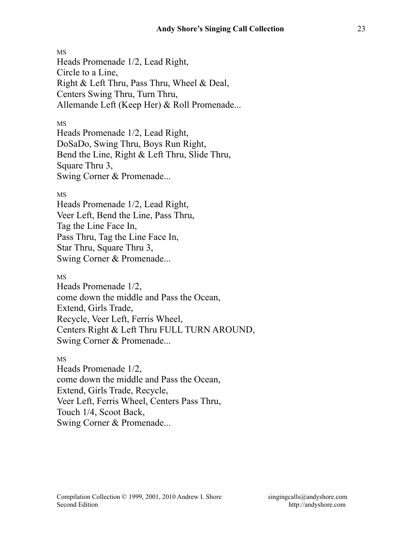MS Heads Promenade 1/2, Lead Right, Circle to a Line, Right & Left Thru, Pass Thru, Wheel & Deal, Centers Swing Thru, Turn Thru, Allemande Left (Keep Her) & Roll Promenade...

#### MS

Heads Promenade 1/2, Lead Right, DoSaDo, Swing Thru, Boys Run Right, Bend the Line, Right & Left Thru, Slide Thru, Square Thru 3, Swing Corner & Promenade...

### MS

Heads Promenade 1/2, Lead Right, Veer Left, Bend the Line, Pass Thru, Tag the Line Face In, Pass Thru, Tag the Line Face In, Star Thru, Square Thru 3, Swing Corner & Promenade...

#### MS

Heads Promenade 1/2, come down the middle and Pass the Ocean, Extend, Girls Trade, Recycle, Veer Left, Ferris Wheel, Centers Right & Left Thru FULL TURN AROUND, Swing Corner & Promenade...

#### MS

Heads Promenade 1/2, come down the middle and Pass the Ocean, Extend, Girls Trade, Recycle, Veer Left, Ferris Wheel, Centers Pass Thru, Touch 1/4, Scoot Back, Swing Corner & Promenade...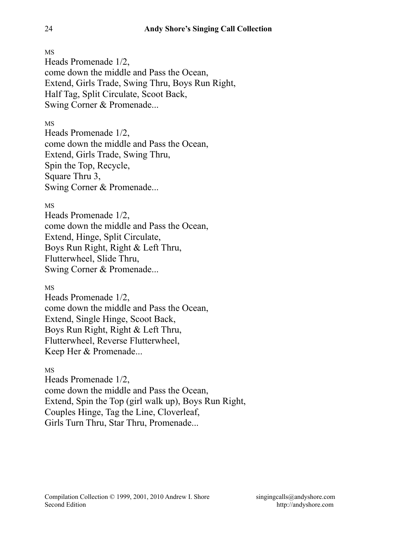Heads Promenade 1/2, come down the middle and Pass the Ocean, Extend, Girls Trade, Swing Thru, Boys Run Right, Half Tag, Split Circulate, Scoot Back, Swing Corner & Promenade...

## MS

Heads Promenade 1/2, come down the middle and Pass the Ocean, Extend, Girls Trade, Swing Thru, Spin the Top, Recycle, Square Thru 3, Swing Corner & Promenade...

### MS

Heads Promenade 1/2, come down the middle and Pass the Ocean, Extend, Hinge, Split Circulate, Boys Run Right, Right & Left Thru, Flutterwheel, Slide Thru, Swing Corner & Promenade...

### MS

Heads Promenade 1/2, come down the middle and Pass the Ocean, Extend, Single Hinge, Scoot Back, Boys Run Right, Right & Left Thru, Flutterwheel, Reverse Flutterwheel, Keep Her & Promenade...

### MS

Heads Promenade 1/2, come down the middle and Pass the Ocean, Extend, Spin the Top (girl walk up), Boys Run Right, Couples Hinge, Tag the Line, Cloverleaf, Girls Turn Thru, Star Thru, Promenade...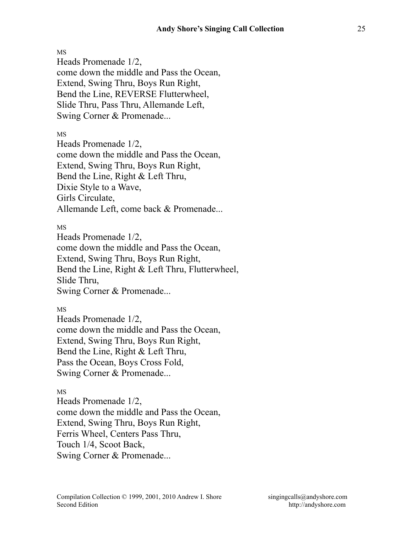Heads Promenade 1/2, come down the middle and Pass the Ocean, Extend, Swing Thru, Boys Run Right, Bend the Line, REVERSE Flutterwheel, Slide Thru, Pass Thru, Allemande Left, Swing Corner & Promenade...

MS

Heads Promenade 1/2, come down the middle and Pass the Ocean, Extend, Swing Thru, Boys Run Right, Bend the Line, Right & Left Thru, Dixie Style to a Wave, Girls Circulate, Allemande Left, come back & Promenade...

MS

Heads Promenade 1/2, come down the middle and Pass the Ocean, Extend, Swing Thru, Boys Run Right, Bend the Line, Right & Left Thru, Flutterwheel, Slide Thru, Swing Corner & Promenade...

MS

Heads Promenade 1/2, come down the middle and Pass the Ocean, Extend, Swing Thru, Boys Run Right, Bend the Line, Right & Left Thru, Pass the Ocean, Boys Cross Fold, Swing Corner & Promenade...

MS

Heads Promenade 1/2, come down the middle and Pass the Ocean, Extend, Swing Thru, Boys Run Right, Ferris Wheel, Centers Pass Thru, Touch 1/4, Scoot Back, Swing Corner & Promenade...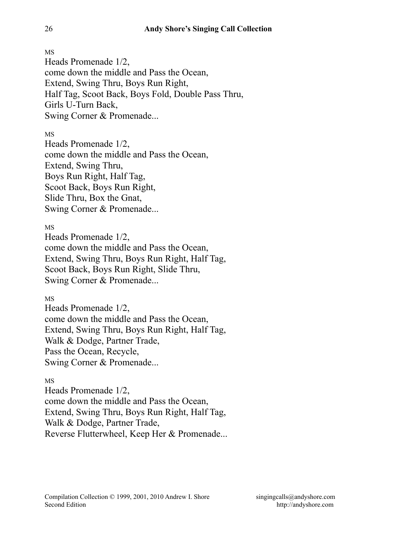MS Heads Promenade 1/2, come down the middle and Pass the Ocean, Extend, Swing Thru, Boys Run Right, Half Tag, Scoot Back, Boys Fold, Double Pass Thru, Girls U-Turn Back, Swing Corner & Promenade...

MS

Heads Promenade 1/2, come down the middle and Pass the Ocean, Extend, Swing Thru, Boys Run Right, Half Tag, Scoot Back, Boys Run Right, Slide Thru, Box the Gnat, Swing Corner & Promenade...

MS

Heads Promenade 1/2, come down the middle and Pass the Ocean, Extend, Swing Thru, Boys Run Right, Half Tag, Scoot Back, Boys Run Right, Slide Thru, Swing Corner & Promenade...

MS

Heads Promenade 1/2, come down the middle and Pass the Ocean, Extend, Swing Thru, Boys Run Right, Half Tag, Walk & Dodge, Partner Trade, Pass the Ocean, Recycle, Swing Corner & Promenade...

## MS

Heads Promenade 1/2, come down the middle and Pass the Ocean, Extend, Swing Thru, Boys Run Right, Half Tag, Walk & Dodge, Partner Trade, Reverse Flutterwheel, Keep Her & Promenade...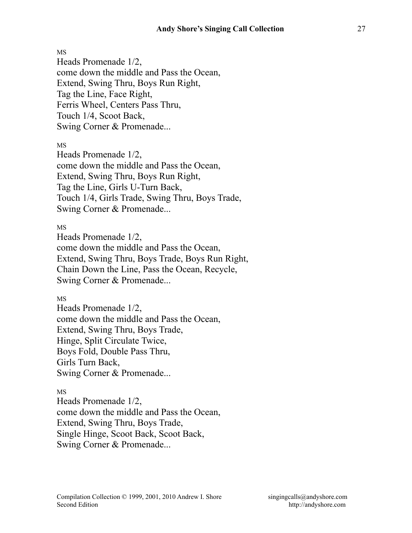Heads Promenade 1/2, come down the middle and Pass the Ocean, Extend, Swing Thru, Boys Run Right, Tag the Line, Face Right, Ferris Wheel, Centers Pass Thru, Touch 1/4, Scoot Back, Swing Corner & Promenade...

MS

Heads Promenade 1/2, come down the middle and Pass the Ocean, Extend, Swing Thru, Boys Run Right, Tag the Line, Girls U-Turn Back, Touch 1/4, Girls Trade, Swing Thru, Boys Trade, Swing Corner & Promenade...

MS

Heads Promenade 1/2, come down the middle and Pass the Ocean, Extend, Swing Thru, Boys Trade, Boys Run Right, Chain Down the Line, Pass the Ocean, Recycle, Swing Corner & Promenade...

MS

Heads Promenade 1/2, come down the middle and Pass the Ocean, Extend, Swing Thru, Boys Trade, Hinge, Split Circulate Twice, Boys Fold, Double Pass Thru, Girls Turn Back, Swing Corner & Promenade...

MS

Heads Promenade 1/2, come down the middle and Pass the Ocean, Extend, Swing Thru, Boys Trade, Single Hinge, Scoot Back, Scoot Back, Swing Corner & Promenade...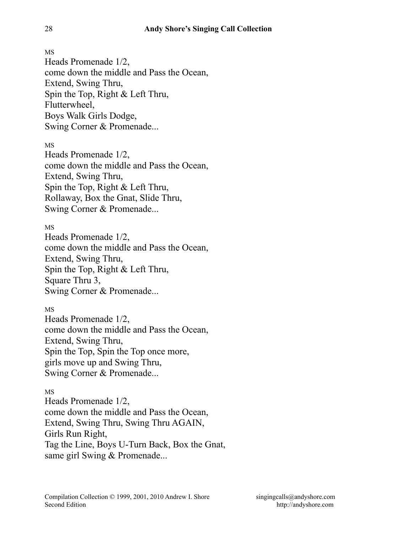Heads Promenade 1/2, come down the middle and Pass the Ocean, Extend, Swing Thru, Spin the Top, Right & Left Thru, Flutterwheel, Boys Walk Girls Dodge, Swing Corner & Promenade...

MS

Heads Promenade 1/2, come down the middle and Pass the Ocean, Extend, Swing Thru, Spin the Top, Right & Left Thru, Rollaway, Box the Gnat, Slide Thru, Swing Corner & Promenade...

MS

Heads Promenade 1/2, come down the middle and Pass the Ocean, Extend, Swing Thru, Spin the Top, Right & Left Thru, Square Thru 3, Swing Corner & Promenade...

MS Heads Promenade 1/2, come down the middle and Pass the Ocean, Extend, Swing Thru, Spin the Top, Spin the Top once more, girls move up and Swing Thru, Swing Corner & Promenade...

### MS

Heads Promenade 1/2, come down the middle and Pass the Ocean, Extend, Swing Thru, Swing Thru AGAIN, Girls Run Right, Tag the Line, Boys U-Turn Back, Box the Gnat, same girl Swing & Promenade...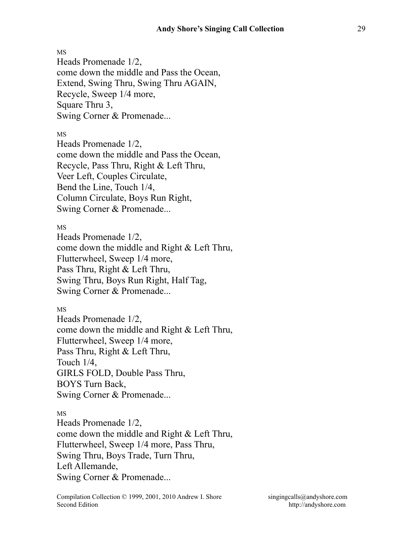Heads Promenade 1/2, come down the middle and Pass the Ocean, Extend, Swing Thru, Swing Thru AGAIN, Recycle, Sweep 1/4 more, Square Thru 3, Swing Corner & Promenade...

MS

Heads Promenade 1/2, come down the middle and Pass the Ocean, Recycle, Pass Thru, Right & Left Thru, Veer Left, Couples Circulate, Bend the Line, Touch 1/4, Column Circulate, Boys Run Right, Swing Corner & Promenade...

MS

Heads Promenade 1/2, come down the middle and Right & Left Thru, Flutterwheel, Sweep 1/4 more, Pass Thru, Right & Left Thru, Swing Thru, Boys Run Right, Half Tag, Swing Corner & Promenade...

MS

Heads Promenade 1/2, come down the middle and Right & Left Thru, Flutterwheel, Sweep 1/4 more, Pass Thru, Right & Left Thru, Touch 1/4, GIRLS FOLD, Double Pass Thru, BOYS Turn Back, Swing Corner & Promenade...

MS

Heads Promenade 1/2, come down the middle and Right & Left Thru, Flutterwheel, Sweep 1/4 more, Pass Thru, Swing Thru, Boys Trade, Turn Thru, Left Allemande, Swing Corner & Promenade...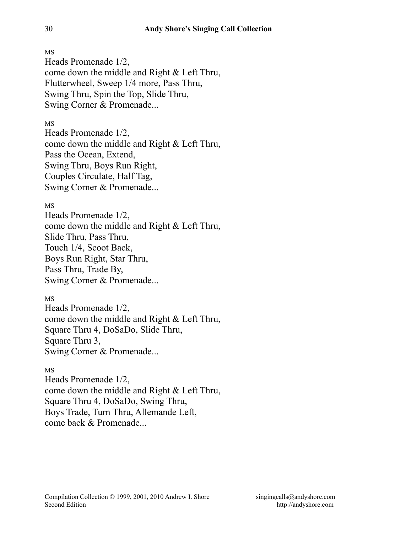Heads Promenade 1/2, come down the middle and Right & Left Thru, Flutterwheel, Sweep 1/4 more, Pass Thru, Swing Thru, Spin the Top, Slide Thru, Swing Corner & Promenade...

## MS

Heads Promenade 1/2, come down the middle and Right & Left Thru, Pass the Ocean, Extend, Swing Thru, Boys Run Right, Couples Circulate, Half Tag, Swing Corner & Promenade...

### MS

Heads Promenade 1/2, come down the middle and Right & Left Thru, Slide Thru, Pass Thru, Touch 1/4, Scoot Back, Boys Run Right, Star Thru, Pass Thru, Trade By, Swing Corner & Promenade...

### MS

Heads Promenade 1/2, come down the middle and Right & Left Thru, Square Thru 4, DoSaDo, Slide Thru, Square Thru 3, Swing Corner & Promenade...

### MS

Heads Promenade 1/2, come down the middle and Right & Left Thru, Square Thru 4, DoSaDo, Swing Thru, Boys Trade, Turn Thru, Allemande Left, come back & Promenade...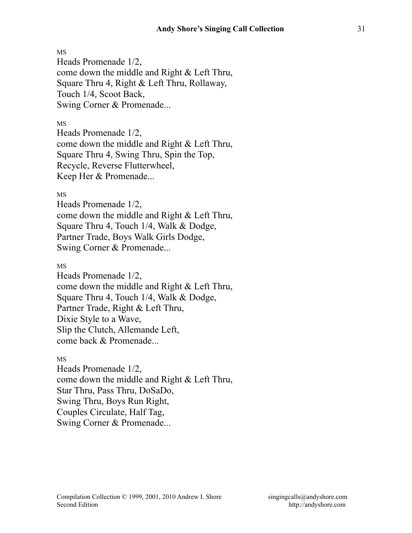Heads Promenade 1/2, come down the middle and Right & Left Thru, Square Thru 4, Right & Left Thru, Rollaway, Touch 1/4, Scoot Back, Swing Corner & Promenade...

MS

Heads Promenade 1/2, come down the middle and Right & Left Thru, Square Thru 4, Swing Thru, Spin the Top, Recycle, Reverse Flutterwheel, Keep Her & Promenade...

MS

Heads Promenade 1/2, come down the middle and Right & Left Thru, Square Thru 4, Touch 1/4, Walk & Dodge, Partner Trade, Boys Walk Girls Dodge, Swing Corner & Promenade...

MS

Heads Promenade 1/2, come down the middle and Right & Left Thru, Square Thru 4, Touch 1/4, Walk & Dodge, Partner Trade, Right & Left Thru, Dixie Style to a Wave, Slip the Clutch, Allemande Left, come back & Promenade...

MS

Heads Promenade 1/2, come down the middle and Right & Left Thru, Star Thru, Pass Thru, DoSaDo, Swing Thru, Boys Run Right, Couples Circulate, Half Tag, Swing Corner & Promenade...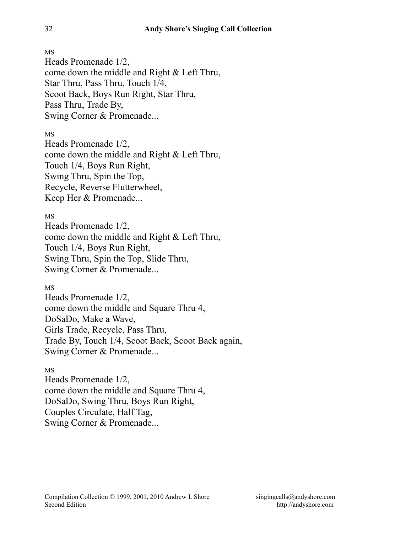Heads Promenade 1/2, come down the middle and Right & Left Thru, Star Thru, Pass Thru, Touch 1/4, Scoot Back, Boys Run Right, Star Thru, Pass Thru, Trade By, Swing Corner & Promenade...

MS

Heads Promenade 1/2, come down the middle and Right & Left Thru, Touch 1/4, Boys Run Right, Swing Thru, Spin the Top, Recycle, Reverse Flutterwheel, Keep Her & Promenade...

MS

Heads Promenade 1/2, come down the middle and Right & Left Thru, Touch 1/4, Boys Run Right, Swing Thru, Spin the Top, Slide Thru, Swing Corner & Promenade...

MS

Heads Promenade 1/2, come down the middle and Square Thru 4, DoSaDo, Make a Wave, Girls Trade, Recycle, Pass Thru, Trade By, Touch 1/4, Scoot Back, Scoot Back again, Swing Corner & Promenade...

MS

Heads Promenade 1/2, come down the middle and Square Thru 4, DoSaDo, Swing Thru, Boys Run Right, Couples Circulate, Half Tag, Swing Corner & Promenade...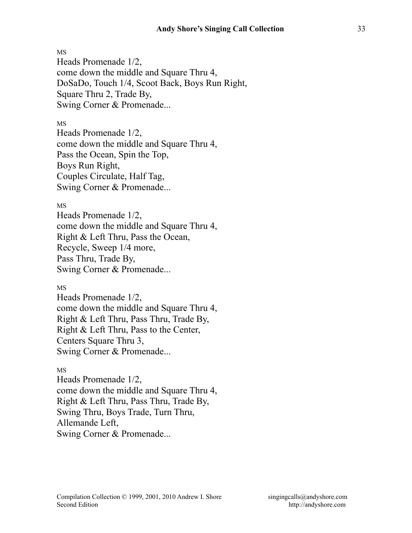Heads Promenade 1/2, come down the middle and Square Thru 4, DoSaDo, Touch 1/4, Scoot Back, Boys Run Right, Square Thru 2, Trade By, Swing Corner & Promenade...

### MS

Heads Promenade 1/2, come down the middle and Square Thru 4, Pass the Ocean, Spin the Top, Boys Run Right, Couples Circulate, Half Tag, Swing Corner & Promenade...

### MS

Heads Promenade 1/2, come down the middle and Square Thru 4, Right & Left Thru, Pass the Ocean, Recycle, Sweep 1/4 more, Pass Thru, Trade By, Swing Corner & Promenade...

MS

Heads Promenade 1/2, come down the middle and Square Thru 4, Right & Left Thru, Pass Thru, Trade By, Right & Left Thru, Pass to the Center, Centers Square Thru 3, Swing Corner & Promenade...

### MS

Heads Promenade 1/2, come down the middle and Square Thru 4, Right & Left Thru, Pass Thru, Trade By, Swing Thru, Boys Trade, Turn Thru, Allemande Left, Swing Corner & Promenade...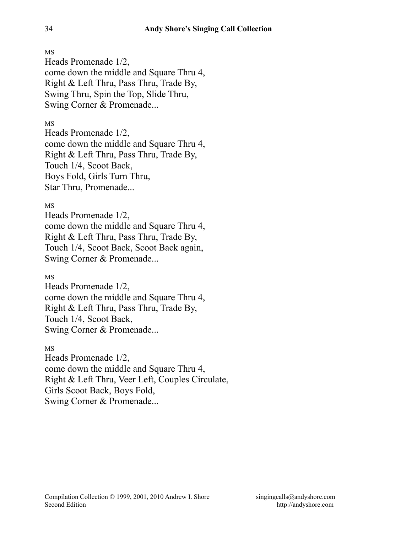Heads Promenade 1/2, come down the middle and Square Thru 4, Right & Left Thru, Pass Thru, Trade By, Swing Thru, Spin the Top, Slide Thru, Swing Corner & Promenade...

## MS

Heads Promenade 1/2, come down the middle and Square Thru 4, Right & Left Thru, Pass Thru, Trade By, Touch 1/4, Scoot Back, Boys Fold, Girls Turn Thru, Star Thru, Promenade...

### MS

Heads Promenade 1/2, come down the middle and Square Thru 4, Right & Left Thru, Pass Thru, Trade By, Touch 1/4, Scoot Back, Scoot Back again, Swing Corner & Promenade...

### MS

Heads Promenade 1/2, come down the middle and Square Thru 4, Right & Left Thru, Pass Thru, Trade By, Touch 1/4, Scoot Back, Swing Corner & Promenade...

MS

Heads Promenade 1/2, come down the middle and Square Thru 4, Right & Left Thru, Veer Left, Couples Circulate, Girls Scoot Back, Boys Fold, Swing Corner & Promenade...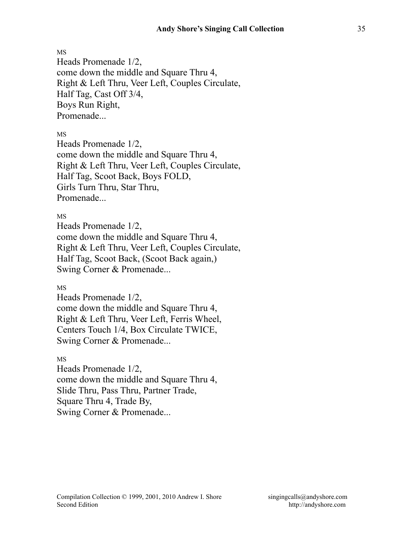Heads Promenade 1/2, come down the middle and Square Thru 4, Right & Left Thru, Veer Left, Couples Circulate, Half Tag, Cast Off 3/4, Boys Run Right, Promenade...

MS

Heads Promenade 1/2, come down the middle and Square Thru 4, Right & Left Thru, Veer Left, Couples Circulate, Half Tag, Scoot Back, Boys FOLD, Girls Turn Thru, Star Thru, Promenade

MS

Heads Promenade 1/2, come down the middle and Square Thru 4, Right & Left Thru, Veer Left, Couples Circulate, Half Tag, Scoot Back, (Scoot Back again,) Swing Corner & Promenade...

MS

Heads Promenade 1/2, come down the middle and Square Thru 4, Right & Left Thru, Veer Left, Ferris Wheel, Centers Touch 1/4, Box Circulate TWICE, Swing Corner & Promenade...

MS

Heads Promenade 1/2, come down the middle and Square Thru 4, Slide Thru, Pass Thru, Partner Trade, Square Thru 4, Trade By, Swing Corner & Promenade...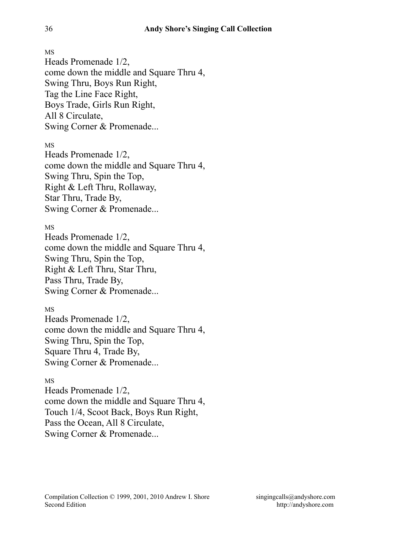Heads Promenade 1/2, come down the middle and Square Thru 4, Swing Thru, Boys Run Right, Tag the Line Face Right, Boys Trade, Girls Run Right, All 8 Circulate, Swing Corner & Promenade...

MS

Heads Promenade 1/2, come down the middle and Square Thru 4, Swing Thru, Spin the Top, Right & Left Thru, Rollaway, Star Thru, Trade By, Swing Corner & Promenade...

MS

Heads Promenade 1/2, come down the middle and Square Thru 4, Swing Thru, Spin the Top, Right & Left Thru, Star Thru, Pass Thru, Trade By, Swing Corner & Promenade...

MS Heads Promenade 1/2, come down the middle and Square Thru 4, Swing Thru, Spin the Top, Square Thru 4, Trade By, Swing Corner & Promenade...

MS

Heads Promenade 1/2, come down the middle and Square Thru 4, Touch 1/4, Scoot Back, Boys Run Right, Pass the Ocean, All 8 Circulate, Swing Corner & Promenade...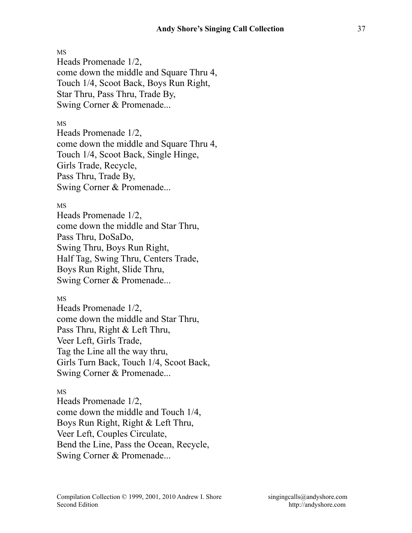Heads Promenade 1/2, come down the middle and Square Thru 4, Touch 1/4, Scoot Back, Boys Run Right, Star Thru, Pass Thru, Trade By, Swing Corner & Promenade...

#### MS

Heads Promenade 1/2, come down the middle and Square Thru 4, Touch 1/4, Scoot Back, Single Hinge, Girls Trade, Recycle, Pass Thru, Trade By, Swing Corner & Promenade...

### MS

Heads Promenade 1/2, come down the middle and Star Thru, Pass Thru, DoSaDo, Swing Thru, Boys Run Right, Half Tag, Swing Thru, Centers Trade, Boys Run Right, Slide Thru, Swing Corner & Promenade...

MS

Heads Promenade 1/2, come down the middle and Star Thru, Pass Thru, Right & Left Thru, Veer Left, Girls Trade, Tag the Line all the way thru, Girls Turn Back, Touch 1/4, Scoot Back, Swing Corner & Promenade...

### MS

Heads Promenade 1/2, come down the middle and Touch 1/4, Boys Run Right, Right & Left Thru, Veer Left, Couples Circulate, Bend the Line, Pass the Ocean, Recycle, Swing Corner & Promenade...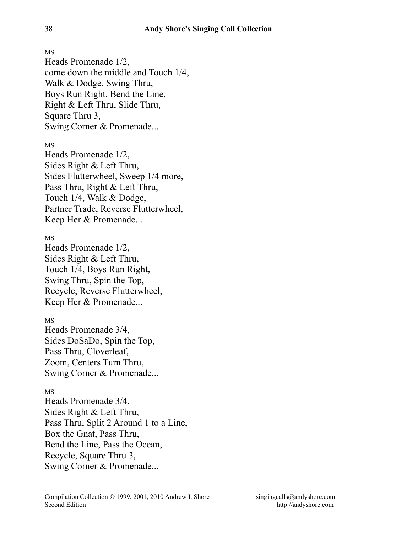MS Heads Promenade 1/2, come down the middle and Touch 1/4, Walk & Dodge, Swing Thru, Boys Run Right, Bend the Line, Right & Left Thru, Slide Thru, Square Thru 3, Swing Corner & Promenade...

MS

Heads Promenade 1/2, Sides Right & Left Thru, Sides Flutterwheel, Sweep 1/4 more, Pass Thru, Right & Left Thru, Touch 1/4, Walk & Dodge, Partner Trade, Reverse Flutterwheel, Keep Her & Promenade...

MS

Heads Promenade 1/2, Sides Right & Left Thru, Touch 1/4, Boys Run Right, Swing Thru, Spin the Top, Recycle, Reverse Flutterwheel, Keep Her & Promenade...

MS

Heads Promenade 3/4, Sides DoSaDo, Spin the Top, Pass Thru, Cloverleaf, Zoom, Centers Turn Thru, Swing Corner & Promenade...

MS

Heads Promenade 3/4, Sides Right & Left Thru, Pass Thru, Split 2 Around 1 to a Line, Box the Gnat, Pass Thru, Bend the Line, Pass the Ocean, Recycle, Square Thru 3, Swing Corner & Promenade...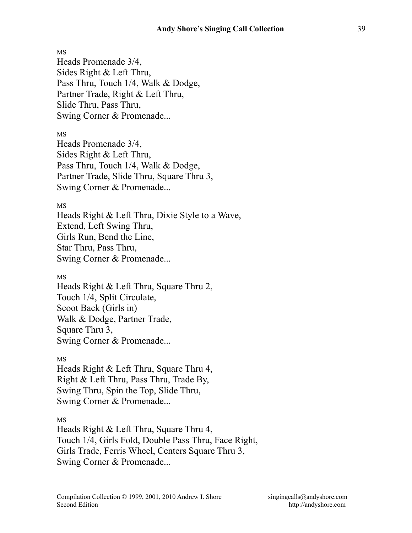Heads Promenade 3/4, Sides Right & Left Thru, Pass Thru, Touch 1/4, Walk & Dodge, Partner Trade, Right & Left Thru, Slide Thru, Pass Thru, Swing Corner & Promenade...

MS

Heads Promenade 3/4, Sides Right & Left Thru, Pass Thru, Touch 1/4, Walk & Dodge, Partner Trade, Slide Thru, Square Thru 3, Swing Corner & Promenade...

### MS

Heads Right & Left Thru, Dixie Style to a Wave, Extend, Left Swing Thru, Girls Run, Bend the Line, Star Thru, Pass Thru, Swing Corner & Promenade...

MS

Heads Right & Left Thru, Square Thru 2, Touch 1/4, Split Circulate, Scoot Back (Girls in) Walk & Dodge, Partner Trade, Square Thru 3, Swing Corner & Promenade...

MS

Heads Right & Left Thru, Square Thru 4, Right & Left Thru, Pass Thru, Trade By, Swing Thru, Spin the Top, Slide Thru, Swing Corner & Promenade...

MS

Heads Right & Left Thru, Square Thru 4, Touch 1/4, Girls Fold, Double Pass Thru, Face Right, Girls Trade, Ferris Wheel, Centers Square Thru 3, Swing Corner & Promenade...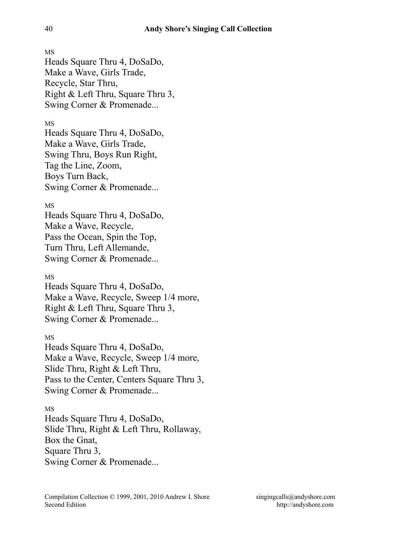MS Heads Square Thru 4, DoSaDo, Make a Wave, Girls Trade, Recycle, Star Thru, Right & Left Thru, Square Thru 3, Swing Corner & Promenade...

### MS

Heads Square Thru 4, DoSaDo, Make a Wave, Girls Trade, Swing Thru, Boys Run Right, Tag the Line, Zoom, Boys Turn Back, Swing Corner & Promenade...

### MS

Heads Square Thru 4, DoSaDo, Make a Wave, Recycle, Pass the Ocean, Spin the Top, Turn Thru, Left Allemande, Swing Corner & Promenade...

# MS

Heads Square Thru 4, DoSaDo, Make a Wave, Recycle, Sweep 1/4 more, Right & Left Thru, Square Thru 3, Swing Corner & Promenade...

### MS

Heads Square Thru 4, DoSaDo, Make a Wave, Recycle, Sweep 1/4 more, Slide Thru, Right & Left Thru, Pass to the Center, Centers Square Thru 3, Swing Corner & Promenade...

### MS

Heads Square Thru 4, DoSaDo, Slide Thru, Right & Left Thru, Rollaway, Box the Gnat, Square Thru 3, Swing Corner & Promenade...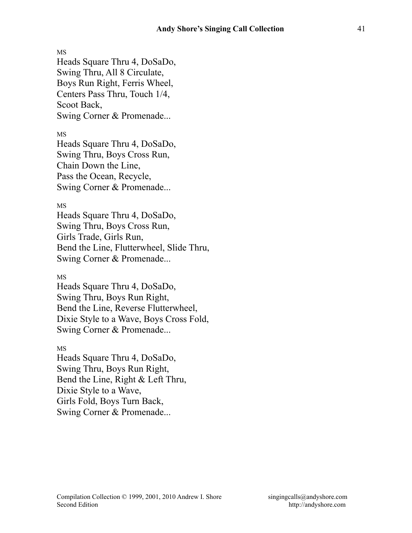Heads Square Thru 4, DoSaDo, Swing Thru, All 8 Circulate, Boys Run Right, Ferris Wheel, Centers Pass Thru, Touch 1/4, Scoot Back, Swing Corner & Promenade...

MS

Heads Square Thru 4, DoSaDo, Swing Thru, Boys Cross Run, Chain Down the Line, Pass the Ocean, Recycle, Swing Corner & Promenade...

### MS

Heads Square Thru 4, DoSaDo, Swing Thru, Boys Cross Run, Girls Trade, Girls Run, Bend the Line, Flutterwheel, Slide Thru, Swing Corner & Promenade...

### MS

Heads Square Thru 4, DoSaDo, Swing Thru, Boys Run Right, Bend the Line, Reverse Flutterwheel, Dixie Style to a Wave, Boys Cross Fold, Swing Corner & Promenade...

### MS

Heads Square Thru 4, DoSaDo, Swing Thru, Boys Run Right, Bend the Line, Right & Left Thru, Dixie Style to a Wave, Girls Fold, Boys Turn Back, Swing Corner & Promenade...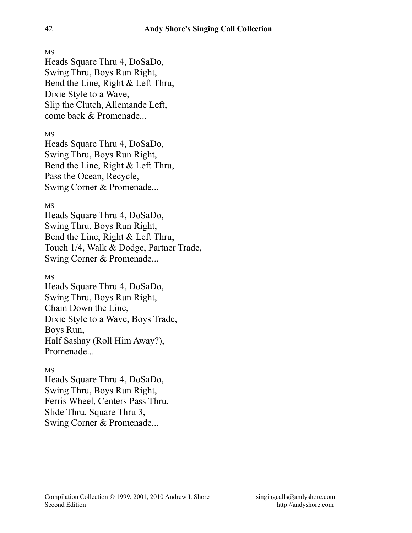Heads Square Thru 4, DoSaDo, Swing Thru, Boys Run Right, Bend the Line, Right & Left Thru, Dixie Style to a Wave, Slip the Clutch, Allemande Left, come back & Promenade...

# MS

Heads Square Thru 4, DoSaDo, Swing Thru, Boys Run Right, Bend the Line, Right & Left Thru, Pass the Ocean, Recycle, Swing Corner & Promenade...

### MS

Heads Square Thru 4, DoSaDo, Swing Thru, Boys Run Right, Bend the Line, Right & Left Thru, Touch 1/4, Walk & Dodge, Partner Trade, Swing Corner & Promenade...

# MS

Heads Square Thru 4, DoSaDo, Swing Thru, Boys Run Right, Chain Down the Line, Dixie Style to a Wave, Boys Trade, Boys Run, Half Sashay (Roll Him Away?), Promenade...

# MS

Heads Square Thru 4, DoSaDo, Swing Thru, Boys Run Right, Ferris Wheel, Centers Pass Thru, Slide Thru, Square Thru 3, Swing Corner & Promenade...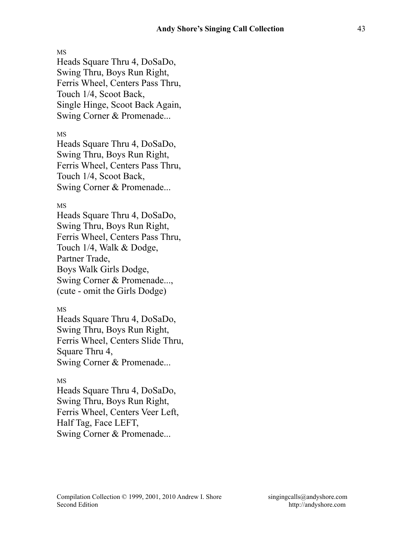MS Heads Square Thru 4, DoSaDo, Swing Thru, Boys Run Right, Ferris Wheel, Centers Pass Thru, Touch 1/4, Scoot Back, Single Hinge, Scoot Back Again, Swing Corner & Promenade...

MS

Heads Square Thru 4, DoSaDo, Swing Thru, Boys Run Right, Ferris Wheel, Centers Pass Thru, Touch 1/4, Scoot Back, Swing Corner & Promenade...

#### MS

Heads Square Thru 4, DoSaDo, Swing Thru, Boys Run Right, Ferris Wheel, Centers Pass Thru, Touch 1/4, Walk & Dodge, Partner Trade, Boys Walk Girls Dodge, Swing Corner & Promenade..., (cute - omit the Girls Dodge)

### MS

Heads Square Thru 4, DoSaDo, Swing Thru, Boys Run Right, Ferris Wheel, Centers Slide Thru, Square Thru 4, Swing Corner & Promenade...

### MS

Heads Square Thru 4, DoSaDo, Swing Thru, Boys Run Right, Ferris Wheel, Centers Veer Left, Half Tag, Face LEFT, Swing Corner & Promenade...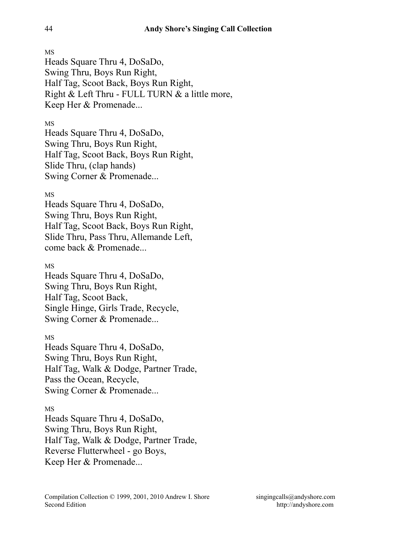MS Heads Square Thru 4, DoSaDo, Swing Thru, Boys Run Right, Half Tag, Scoot Back, Boys Run Right, Right & Left Thru - FULL TURN & a little more, Keep Her & Promenade...

# MS

Heads Square Thru 4, DoSaDo, Swing Thru, Boys Run Right, Half Tag, Scoot Back, Boys Run Right, Slide Thru, (clap hands) Swing Corner & Promenade...

# MS

Heads Square Thru 4, DoSaDo, Swing Thru, Boys Run Right, Half Tag, Scoot Back, Boys Run Right, Slide Thru, Pass Thru, Allemande Left, come back & Promenade...

# MS

Heads Square Thru 4, DoSaDo, Swing Thru, Boys Run Right, Half Tag, Scoot Back, Single Hinge, Girls Trade, Recycle, Swing Corner & Promenade...

### MS

Heads Square Thru 4, DoSaDo, Swing Thru, Boys Run Right, Half Tag, Walk & Dodge, Partner Trade, Pass the Ocean, Recycle, Swing Corner & Promenade...

### MS

Heads Square Thru 4, DoSaDo, Swing Thru, Boys Run Right, Half Tag, Walk & Dodge, Partner Trade, Reverse Flutterwheel - go Boys, Keep Her & Promenade...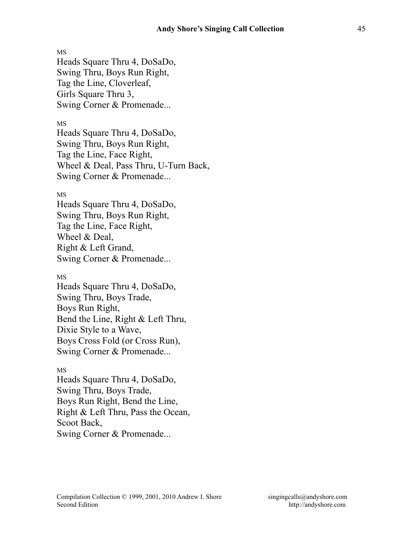MS Heads Square Thru 4, DoSaDo, Swing Thru, Boys Run Right, Tag the Line, Cloverleaf, Girls Square Thru 3, Swing Corner & Promenade...

### MS

Heads Square Thru 4, DoSaDo, Swing Thru, Boys Run Right, Tag the Line, Face Right, Wheel & Deal, Pass Thru, U-Turn Back, Swing Corner & Promenade...

### MS

Heads Square Thru 4, DoSaDo, Swing Thru, Boys Run Right, Tag the Line, Face Right, Wheel & Deal, Right & Left Grand, Swing Corner & Promenade...

#### MS

Heads Square Thru 4, DoSaDo, Swing Thru, Boys Trade, Boys Run Right, Bend the Line, Right & Left Thru, Dixie Style to a Wave, Boys Cross Fold (or Cross Run), Swing Corner & Promenade...

### MS

Heads Square Thru 4, DoSaDo, Swing Thru, Boys Trade, Boys Run Right, Bend the Line, Right & Left Thru, Pass the Ocean, Scoot Back, Swing Corner & Promenade...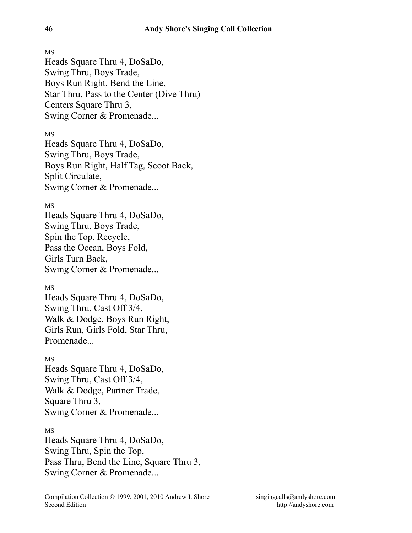Heads Square Thru 4, DoSaDo, Swing Thru, Boys Trade, Boys Run Right, Bend the Line, Star Thru, Pass to the Center (Dive Thru) Centers Square Thru 3, Swing Corner & Promenade...

MS

Heads Square Thru 4, DoSaDo, Swing Thru, Boys Trade, Boys Run Right, Half Tag, Scoot Back, Split Circulate, Swing Corner & Promenade...

# MS

Heads Square Thru 4, DoSaDo, Swing Thru, Boys Trade, Spin the Top, Recycle, Pass the Ocean, Boys Fold, Girls Turn Back, Swing Corner & Promenade...

MS

Heads Square Thru 4, DoSaDo, Swing Thru, Cast Off 3/4, Walk & Dodge, Boys Run Right, Girls Run, Girls Fold, Star Thru, Promenade...

# MS

Heads Square Thru 4, DoSaDo, Swing Thru, Cast Off 3/4, Walk & Dodge, Partner Trade, Square Thru 3, Swing Corner & Promenade...

# MS

Heads Square Thru 4, DoSaDo, Swing Thru, Spin the Top, Pass Thru, Bend the Line, Square Thru 3, Swing Corner & Promenade...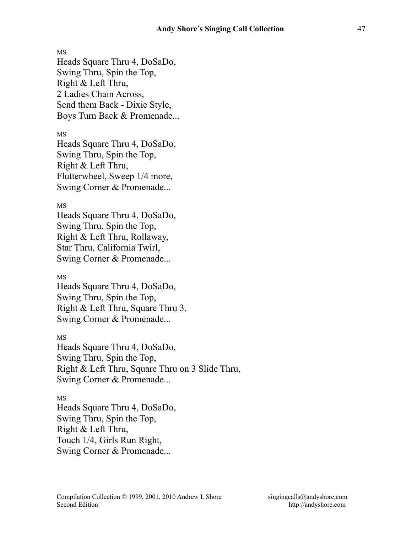MS Heads Square Thru 4, DoSaDo, Swing Thru, Spin the Top, Right & Left Thru, 2 Ladies Chain Across, Send them Back - Dixie Style, Boys Turn Back & Promenade...

#### MS

Heads Square Thru 4, DoSaDo, Swing Thru, Spin the Top, Right & Left Thru, Flutterwheel, Sweep 1/4 more, Swing Corner & Promenade...

#### MS

Heads Square Thru 4, DoSaDo, Swing Thru, Spin the Top, Right & Left Thru, Rollaway, Star Thru, California Twirl, Swing Corner & Promenade...

### MS

Heads Square Thru 4, DoSaDo, Swing Thru, Spin the Top, Right & Left Thru, Square Thru 3, Swing Corner & Promenade...

MS

Heads Square Thru 4, DoSaDo, Swing Thru, Spin the Top, Right & Left Thru, Square Thru on 3 Slide Thru, Swing Corner & Promenade...

MS Heads Square Thru 4, DoSaDo, Swing Thru, Spin the Top, Right & Left Thru, Touch 1/4, Girls Run Right, Swing Corner & Promenade...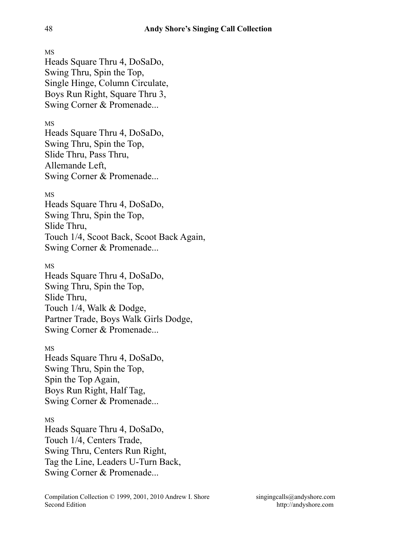MS Heads Square Thru 4, DoSaDo, Swing Thru, Spin the Top, Single Hinge, Column Circulate, Boys Run Right, Square Thru 3, Swing Corner & Promenade...

MS

Heads Square Thru 4, DoSaDo, Swing Thru, Spin the Top, Slide Thru, Pass Thru, Allemande Left, Swing Corner & Promenade...

# MS

Heads Square Thru 4, DoSaDo, Swing Thru, Spin the Top, Slide Thru, Touch 1/4, Scoot Back, Scoot Back Again, Swing Corner & Promenade...

MS

Heads Square Thru 4, DoSaDo, Swing Thru, Spin the Top, Slide Thru, Touch 1/4, Walk & Dodge, Partner Trade, Boys Walk Girls Dodge, Swing Corner & Promenade...

MS

Heads Square Thru 4, DoSaDo, Swing Thru, Spin the Top, Spin the Top Again, Boys Run Right, Half Tag, Swing Corner & Promenade...

### MS

Heads Square Thru 4, DoSaDo, Touch 1/4, Centers Trade, Swing Thru, Centers Run Right, Tag the Line, Leaders U-Turn Back, Swing Corner & Promenade...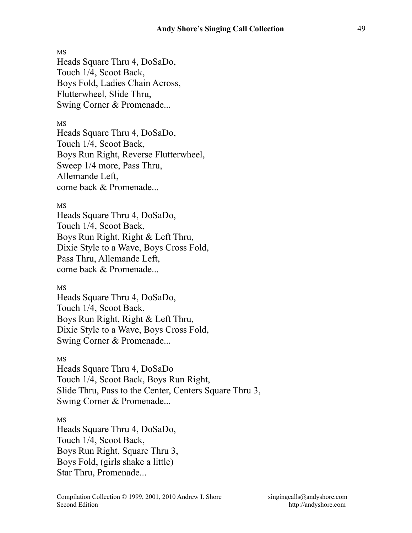Heads Square Thru 4, DoSaDo, Touch 1/4, Scoot Back, Boys Fold, Ladies Chain Across, Flutterwheel, Slide Thru, Swing Corner & Promenade...

#### MS

Heads Square Thru 4, DoSaDo, Touch 1/4, Scoot Back, Boys Run Right, Reverse Flutterwheel, Sweep 1/4 more, Pass Thru, Allemande Left, come back & Promenade...

#### MS

Heads Square Thru 4, DoSaDo, Touch 1/4, Scoot Back, Boys Run Right, Right & Left Thru, Dixie Style to a Wave, Boys Cross Fold, Pass Thru, Allemande Left, come back & Promenade...

### MS

Heads Square Thru 4, DoSaDo, Touch 1/4, Scoot Back, Boys Run Right, Right & Left Thru, Dixie Style to a Wave, Boys Cross Fold, Swing Corner & Promenade...

#### MS

Heads Square Thru 4, DoSaDo Touch 1/4, Scoot Back, Boys Run Right, Slide Thru, Pass to the Center, Centers Square Thru 3, Swing Corner & Promenade...

#### MS

Heads Square Thru 4, DoSaDo, Touch 1/4, Scoot Back, Boys Run Right, Square Thru 3, Boys Fold, (girls shake a little) Star Thru, Promenade...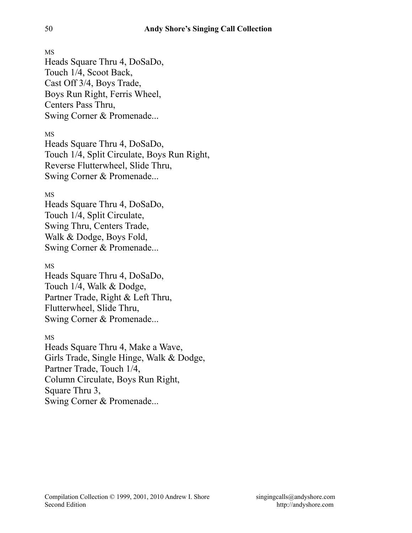Heads Square Thru 4, DoSaDo, Touch 1/4, Scoot Back, Cast Off 3/4, Boys Trade, Boys Run Right, Ferris Wheel, Centers Pass Thru, Swing Corner & Promenade...

MS

Heads Square Thru 4, DoSaDo, Touch 1/4, Split Circulate, Boys Run Right, Reverse Flutterwheel, Slide Thru, Swing Corner & Promenade...

# MS

Heads Square Thru 4, DoSaDo, Touch 1/4, Split Circulate, Swing Thru, Centers Trade, Walk & Dodge, Boys Fold, Swing Corner & Promenade...

# MS

Heads Square Thru 4, DoSaDo, Touch 1/4, Walk & Dodge, Partner Trade, Right & Left Thru, Flutterwheel, Slide Thru, Swing Corner & Promenade...

### MS

Heads Square Thru 4, Make a Wave, Girls Trade, Single Hinge, Walk & Dodge, Partner Trade, Touch 1/4, Column Circulate, Boys Run Right, Square Thru 3, Swing Corner & Promenade...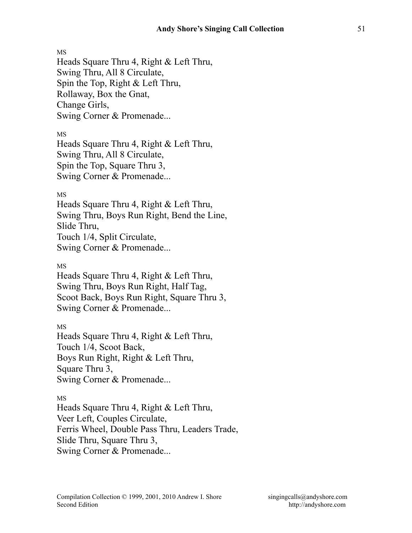Heads Square Thru 4, Right & Left Thru, Swing Thru, All 8 Circulate, Spin the Top, Right & Left Thru, Rollaway, Box the Gnat, Change Girls, Swing Corner & Promenade...

MS

Heads Square Thru 4, Right & Left Thru, Swing Thru, All 8 Circulate, Spin the Top, Square Thru 3, Swing Corner & Promenade...

MS

Heads Square Thru 4, Right & Left Thru, Swing Thru, Boys Run Right, Bend the Line, Slide Thru, Touch 1/4, Split Circulate, Swing Corner & Promenade...

MS

Heads Square Thru 4, Right & Left Thru, Swing Thru, Boys Run Right, Half Tag, Scoot Back, Boys Run Right, Square Thru 3, Swing Corner & Promenade...

MS Heads Square Thru 4, Right & Left Thru, Touch 1/4, Scoot Back, Boys Run Right, Right & Left Thru, Square Thru 3, Swing Corner & Promenade...

MS

Heads Square Thru 4, Right & Left Thru, Veer Left, Couples Circulate, Ferris Wheel, Double Pass Thru, Leaders Trade, Slide Thru, Square Thru 3, Swing Corner & Promenade...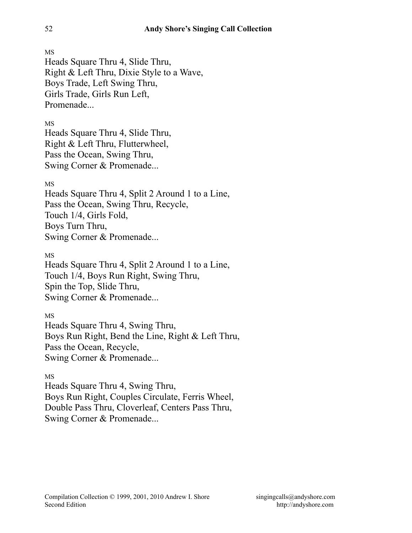MS Heads Square Thru 4, Slide Thru, Right & Left Thru, Dixie Style to a Wave, Boys Trade, Left Swing Thru, Girls Trade, Girls Run Left, Promenade

MS

Heads Square Thru 4, Slide Thru, Right & Left Thru, Flutterwheel, Pass the Ocean, Swing Thru, Swing Corner & Promenade...

# MS

Heads Square Thru 4, Split 2 Around 1 to a Line, Pass the Ocean, Swing Thru, Recycle, Touch 1/4, Girls Fold, Boys Turn Thru, Swing Corner & Promenade...

MS

Heads Square Thru 4, Split 2 Around 1 to a Line, Touch 1/4, Boys Run Right, Swing Thru, Spin the Top, Slide Thru, Swing Corner & Promenade...

MS

Heads Square Thru 4, Swing Thru, Boys Run Right, Bend the Line, Right & Left Thru, Pass the Ocean, Recycle, Swing Corner & Promenade...

MS

Heads Square Thru 4, Swing Thru, Boys Run Right, Couples Circulate, Ferris Wheel, Double Pass Thru, Cloverleaf, Centers Pass Thru, Swing Corner & Promenade...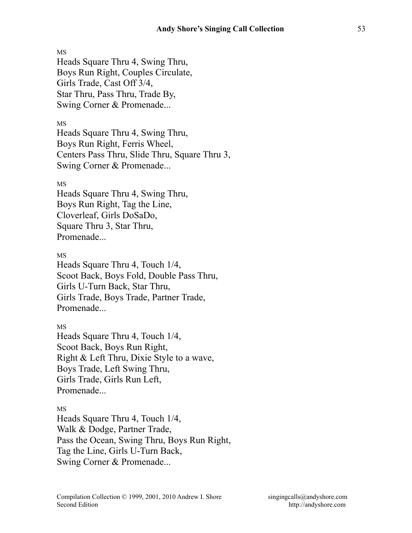Heads Square Thru 4, Swing Thru, Boys Run Right, Couples Circulate, Girls Trade, Cast Off 3/4, Star Thru, Pass Thru, Trade By, Swing Corner & Promenade...

MS

Heads Square Thru 4, Swing Thru, Boys Run Right, Ferris Wheel, Centers Pass Thru, Slide Thru, Square Thru 3, Swing Corner & Promenade...

MS

Heads Square Thru 4, Swing Thru, Boys Run Right, Tag the Line, Cloverleaf, Girls DoSaDo, Square Thru 3, Star Thru, Promenade...

MS

Heads Square Thru 4, Touch 1/4, Scoot Back, Boys Fold, Double Pass Thru, Girls U-Turn Back, Star Thru, Girls Trade, Boys Trade, Partner Trade, Promenade...

MS

Heads Square Thru 4, Touch 1/4, Scoot Back, Boys Run Right, Right & Left Thru, Dixie Style to a wave, Boys Trade, Left Swing Thru, Girls Trade, Girls Run Left, Promenade...

MS

Heads Square Thru 4, Touch 1/4, Walk & Dodge, Partner Trade, Pass the Ocean, Swing Thru, Boys Run Right, Tag the Line, Girls U-Turn Back, Swing Corner & Promenade...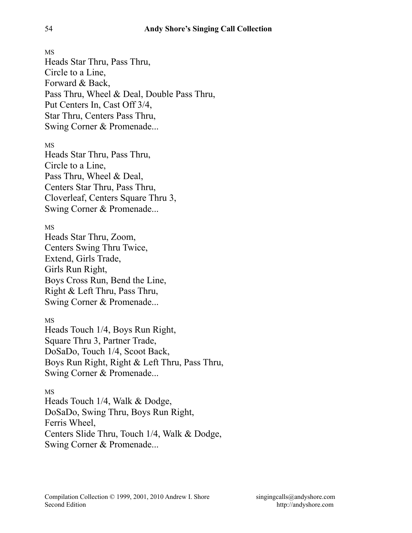MS Heads Star Thru, Pass Thru, Circle to a Line, Forward & Back, Pass Thru, Wheel & Deal, Double Pass Thru, Put Centers In, Cast Off 3/4, Star Thru, Centers Pass Thru, Swing Corner & Promenade...

MS

Heads Star Thru, Pass Thru, Circle to a Line, Pass Thru, Wheel & Deal, Centers Star Thru, Pass Thru, Cloverleaf, Centers Square Thru 3, Swing Corner & Promenade...

MS

Heads Star Thru, Zoom, Centers Swing Thru Twice, Extend, Girls Trade, Girls Run Right, Boys Cross Run, Bend the Line, Right & Left Thru, Pass Thru, Swing Corner & Promenade...

MS

Heads Touch 1/4, Boys Run Right, Square Thru 3, Partner Trade, DoSaDo, Touch 1/4, Scoot Back, Boys Run Right, Right & Left Thru, Pass Thru, Swing Corner & Promenade...

MS

Heads Touch 1/4, Walk & Dodge, DoSaDo, Swing Thru, Boys Run Right, Ferris Wheel, Centers Slide Thru, Touch 1/4, Walk & Dodge, Swing Corner & Promenade...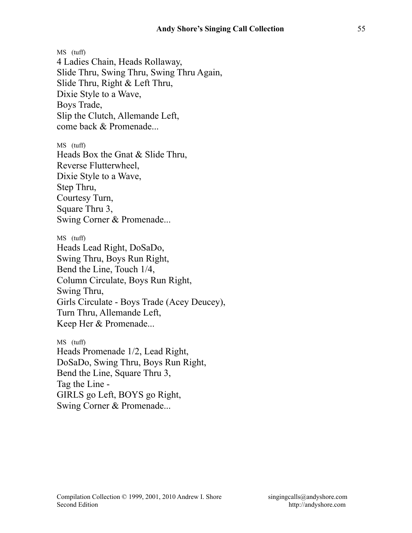MS (tuff) 4 Ladies Chain, Heads Rollaway, Slide Thru, Swing Thru, Swing Thru Again, Slide Thru, Right & Left Thru, Dixie Style to a Wave, Boys Trade, Slip the Clutch, Allemande Left, come back & Promenade...

MS (tuff) Heads Box the Gnat & Slide Thru, Reverse Flutterwheel, Dixie Style to a Wave, Step Thru, Courtesy Turn, Square Thru 3, Swing Corner & Promenade...

MS (tuff) Heads Lead Right, DoSaDo, Swing Thru, Boys Run Right, Bend the Line, Touch 1/4, Column Circulate, Boys Run Right, Swing Thru, Girls Circulate - Boys Trade (Acey Deucey), Turn Thru, Allemande Left, Keep Her & Promenade...

MS (tuff) Heads Promenade 1/2, Lead Right, DoSaDo, Swing Thru, Boys Run Right, Bend the Line, Square Thru 3, Tag the Line - GIRLS go Left, BOYS go Right, Swing Corner & Promenade...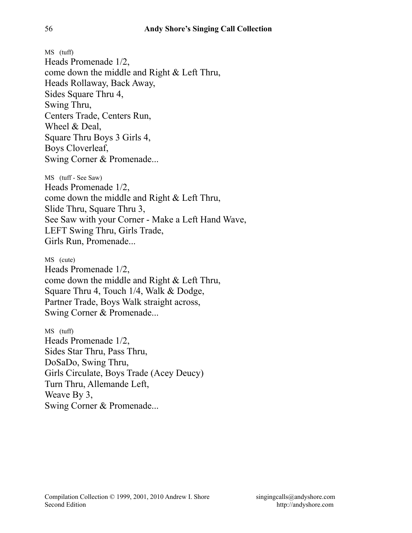MS (tuff) Heads Promenade 1/2, come down the middle and Right & Left Thru, Heads Rollaway, Back Away, Sides Square Thru 4, Swing Thru, Centers Trade, Centers Run, Wheel & Deal, Square Thru Boys 3 Girls 4, Boys Cloverleaf, Swing Corner & Promenade...

MS (tuff - See Saw) Heads Promenade 1/2, come down the middle and Right & Left Thru, Slide Thru, Square Thru 3, See Saw with your Corner - Make a Left Hand Wave, LEFT Swing Thru, Girls Trade, Girls Run, Promenade...

MS (cute) Heads Promenade 1/2, come down the middle and Right & Left Thru, Square Thru 4, Touch 1/4, Walk & Dodge, Partner Trade, Boys Walk straight across, Swing Corner & Promenade...

MS (tuff) Heads Promenade 1/2, Sides Star Thru, Pass Thru, DoSaDo, Swing Thru, Girls Circulate, Boys Trade (Acey Deucy) Turn Thru, Allemande Left, Weave By 3, Swing Corner & Promenade...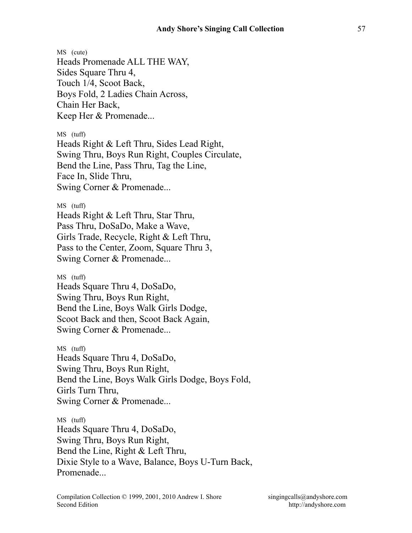MS (cute) Heads Promenade ALL THE WAY, Sides Square Thru 4, Touch 1/4, Scoot Back, Boys Fold, 2 Ladies Chain Across, Chain Her Back, Keep Her & Promenade...

MS (tuff)

Heads Right & Left Thru, Sides Lead Right, Swing Thru, Boys Run Right, Couples Circulate, Bend the Line, Pass Thru, Tag the Line, Face In, Slide Thru, Swing Corner & Promenade...

MS (tuff) Heads Right & Left Thru, Star Thru, Pass Thru, DoSaDo, Make a Wave, Girls Trade, Recycle, Right & Left Thru, Pass to the Center, Zoom, Square Thru 3, Swing Corner & Promenade...

MS (tuff) Heads Square Thru 4, DoSaDo, Swing Thru, Boys Run Right, Bend the Line, Boys Walk Girls Dodge, Scoot Back and then, Scoot Back Again, Swing Corner & Promenade...

MS (tuff) Heads Square Thru 4, DoSaDo, Swing Thru, Boys Run Right, Bend the Line, Boys Walk Girls Dodge, Boys Fold, Girls Turn Thru, Swing Corner & Promenade...

MS (tuff) Heads Square Thru 4, DoSaDo, Swing Thru, Boys Run Right, Bend the Line, Right & Left Thru, Dixie Style to a Wave, Balance, Boys U-Turn Back, Promenade...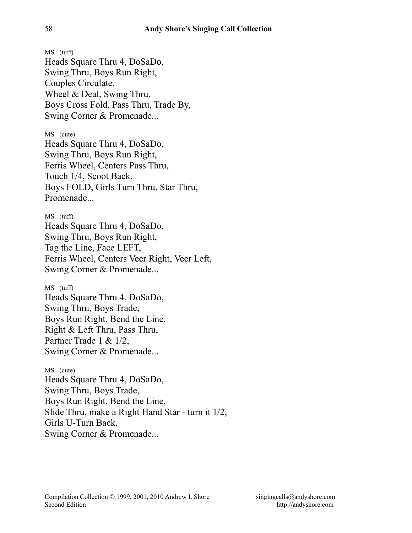MS (tuff) Heads Square Thru 4, DoSaDo, Swing Thru, Boys Run Right, Couples Circulate, Wheel & Deal, Swing Thru, Boys Cross Fold, Pass Thru, Trade By, Swing Corner & Promenade... MS (cute) Heads Square Thru 4, DoSaDo, Swing Thru, Boys Run Right, Ferris Wheel, Centers Pass Thru, Touch 1/4, Scoot Back, Boys FOLD, Girls Turn Thru, Star Thru, Promenade MS (tuff) Heads Square Thru 4, DoSaDo, Swing Thru, Boys Run Right, Tag the Line, Face LEFT, Ferris Wheel, Centers Veer Right, Veer Left, Swing Corner & Promenade... MS (tuff) Heads Square Thru 4, DoSaDo, Swing Thru, Boys Trade, Boys Run Right, Bend the Line, Right & Left Thru, Pass Thru, Partner Trade 1 & 1/2, Swing Corner & Promenade... MS (cute) Heads Square Thru 4, DoSaDo, Swing Thru, Boys Trade, Boys Run Right, Bend the Line, Slide Thru, make a Right Hand Star - turn it 1/2, Girls U-Turn Back, Swing Corner & Promenade...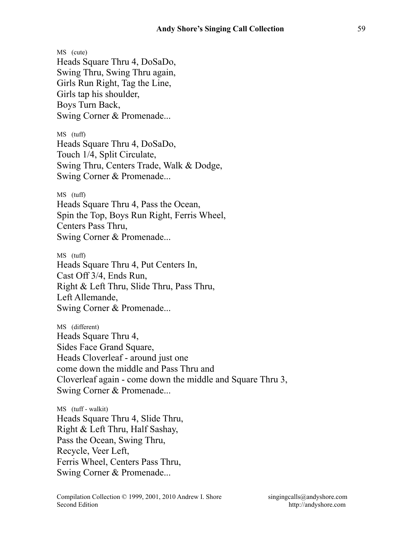MS (cute) Heads Square Thru 4, DoSaDo, Swing Thru, Swing Thru again, Girls Run Right, Tag the Line, Girls tap his shoulder, Boys Turn Back, Swing Corner & Promenade...

MS (tuff) Heads Square Thru 4, DoSaDo, Touch 1/4, Split Circulate, Swing Thru, Centers Trade, Walk & Dodge, Swing Corner & Promenade...

MS (tuff) Heads Square Thru 4, Pass the Ocean, Spin the Top, Boys Run Right, Ferris Wheel, Centers Pass Thru, Swing Corner & Promenade...

MS (tuff) Heads Square Thru 4, Put Centers In, Cast Off 3/4, Ends Run, Right & Left Thru, Slide Thru, Pass Thru, Left Allemande, Swing Corner & Promenade...

MS (different) Heads Square Thru 4, Sides Face Grand Square, Heads Cloverleaf - around just one come down the middle and Pass Thru and Cloverleaf again - come down the middle and Square Thru 3, Swing Corner & Promenade...

MS (tuff - walkit) Heads Square Thru 4, Slide Thru, Right & Left Thru, Half Sashay, Pass the Ocean, Swing Thru, Recycle, Veer Left, Ferris Wheel, Centers Pass Thru, Swing Corner & Promenade...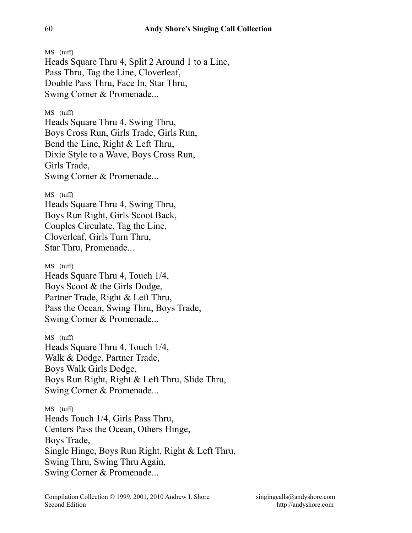MS (tuff) Heads Square Thru 4, Split 2 Around 1 to a Line, Pass Thru, Tag the Line, Cloverleaf, Double Pass Thru, Face In, Star Thru, Swing Corner & Promenade...

MS (tuff) Heads Square Thru 4, Swing Thru, Boys Cross Run, Girls Trade, Girls Run, Bend the Line, Right & Left Thru, Dixie Style to a Wave, Boys Cross Run, Girls Trade, Swing Corner & Promenade...

MS (tuff) Heads Square Thru 4, Swing Thru, Boys Run Right, Girls Scoot Back, Couples Circulate, Tag the Line, Cloverleaf, Girls Turn Thru, Star Thru, Promenade...

MS (tuff) Heads Square Thru 4, Touch 1/4, Boys Scoot & the Girls Dodge, Partner Trade, Right & Left Thru, Pass the Ocean, Swing Thru, Boys Trade, Swing Corner & Promenade...

MS (tuff) Heads Square Thru 4, Touch 1/4, Walk & Dodge, Partner Trade, Boys Walk Girls Dodge, Boys Run Right, Right & Left Thru, Slide Thru, Swing Corner & Promenade...

MS (tuff) Heads Touch 1/4, Girls Pass Thru, Centers Pass the Ocean, Others Hinge, Boys Trade, Single Hinge, Boys Run Right, Right & Left Thru, Swing Thru, Swing Thru Again, Swing Corner & Promenade...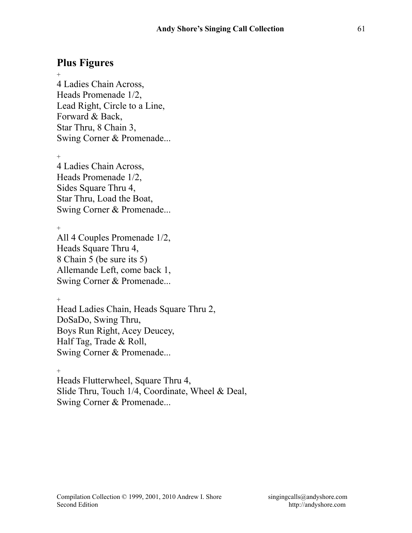# **Plus Figures**

+ 4 Ladies Chain Across, Heads Promenade 1/2, Lead Right, Circle to a Line, Forward & Back, Star Thru, 8 Chain 3, Swing Corner & Promenade...

 $+$ 

4 Ladies Chain Across, Heads Promenade 1/2, Sides Square Thru 4, Star Thru, Load the Boat, Swing Corner & Promenade...

+

All 4 Couples Promenade 1/2, Heads Square Thru 4, 8 Chain 5 (be sure its 5) Allemande Left, come back 1, Swing Corner & Promenade...

 $+$ 

Head Ladies Chain, Heads Square Thru 2, DoSaDo, Swing Thru, Boys Run Right, Acey Deucey, Half Tag, Trade & Roll, Swing Corner & Promenade...

 $+$ 

Heads Flutterwheel, Square Thru 4, Slide Thru, Touch 1/4, Coordinate, Wheel & Deal, Swing Corner & Promenade...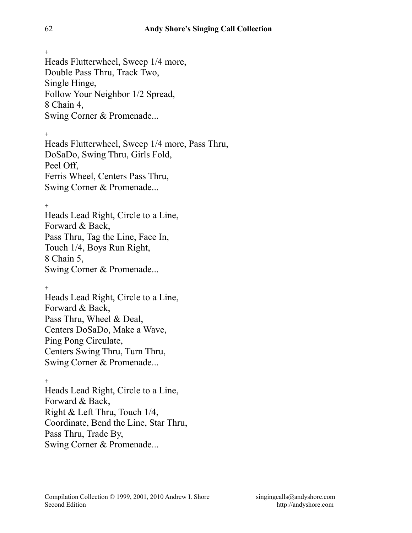Heads Flutterwheel, Sweep 1/4 more, Double Pass Thru, Track Two, Single Hinge, Follow Your Neighbor 1/2 Spread, 8 Chain 4, Swing Corner & Promenade...

 $+$ 

Heads Flutterwheel, Sweep 1/4 more, Pass Thru, DoSaDo, Swing Thru, Girls Fold, Peel Off, Ferris Wheel, Centers Pass Thru, Swing Corner & Promenade...

 $+$ 

Heads Lead Right, Circle to a Line, Forward & Back, Pass Thru, Tag the Line, Face In, Touch 1/4, Boys Run Right, 8 Chain 5, Swing Corner & Promenade...

 $+$ 

Heads Lead Right, Circle to a Line, Forward & Back, Pass Thru, Wheel & Deal, Centers DoSaDo, Make a Wave, Ping Pong Circulate, Centers Swing Thru, Turn Thru, Swing Corner & Promenade...

 $\pm$ 

Heads Lead Right, Circle to a Line, Forward & Back, Right & Left Thru, Touch 1/4, Coordinate, Bend the Line, Star Thru, Pass Thru, Trade By, Swing Corner & Promenade...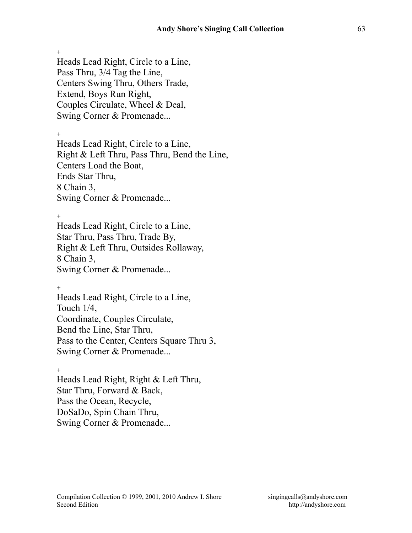Heads Lead Right, Circle to a Line, Pass Thru, 3/4 Tag the Line, Centers Swing Thru, Others Trade, Extend, Boys Run Right, Couples Circulate, Wheel & Deal, Swing Corner & Promenade...

 $+$ 

Heads Lead Right, Circle to a Line, Right & Left Thru, Pass Thru, Bend the Line, Centers Load the Boat, Ends Star Thru, 8 Chain 3, Swing Corner & Promenade...

 $+$ 

Heads Lead Right, Circle to a Line, Star Thru, Pass Thru, Trade By, Right & Left Thru, Outsides Rollaway, 8 Chain 3, Swing Corner & Promenade...

 $+$ 

Heads Lead Right, Circle to a Line, Touch 1/4, Coordinate, Couples Circulate, Bend the Line, Star Thru, Pass to the Center, Centers Square Thru 3, Swing Corner & Promenade...

 $^{+}$ Heads Lead Right, Right & Left Thru, Star Thru, Forward & Back, Pass the Ocean, Recycle, DoSaDo, Spin Chain Thru, Swing Corner & Promenade...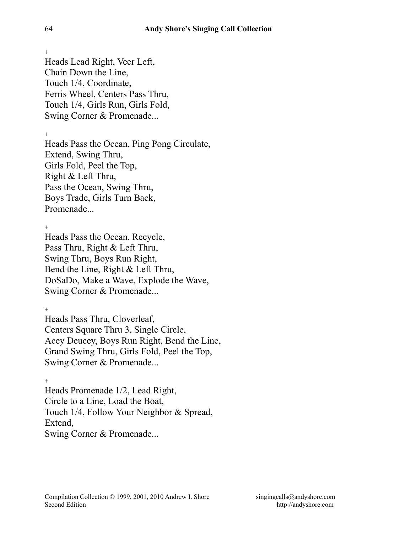Heads Lead Right, Veer Left, Chain Down the Line, Touch 1/4, Coordinate, Ferris Wheel, Centers Pass Thru, Touch 1/4, Girls Run, Girls Fold, Swing Corner & Promenade...

 $+$ 

Heads Pass the Ocean, Ping Pong Circulate, Extend, Swing Thru, Girls Fold, Peel the Top, Right & Left Thru, Pass the Ocean, Swing Thru, Boys Trade, Girls Turn Back, Promenade...

+

Heads Pass the Ocean, Recycle, Pass Thru, Right & Left Thru, Swing Thru, Boys Run Right, Bend the Line, Right & Left Thru, DoSaDo, Make a Wave, Explode the Wave, Swing Corner & Promenade...

+

Heads Pass Thru, Cloverleaf, Centers Square Thru 3, Single Circle, Acey Deucey, Boys Run Right, Bend the Line, Grand Swing Thru, Girls Fold, Peel the Top, Swing Corner & Promenade...

+ Heads Promenade 1/2, Lead Right, Circle to a Line, Load the Boat, Touch 1/4, Follow Your Neighbor & Spread, Extend, Swing Corner & Promenade...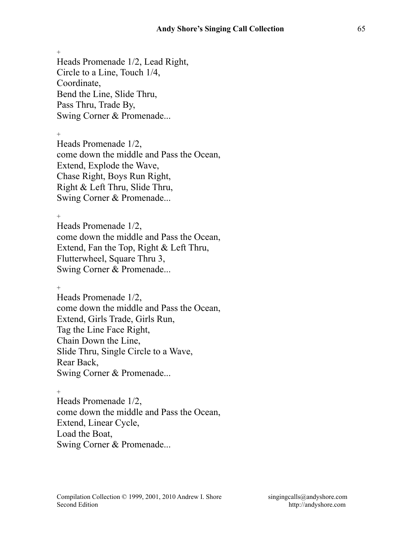$+$ Heads Promenade 1/2, Lead Right, Circle to a Line, Touch 1/4, Coordinate, Bend the Line, Slide Thru, Pass Thru, Trade By, Swing Corner & Promenade...

 $+$ Heads Promenade 1/2, come down the middle and Pass the Ocean, Extend, Explode the Wave, Chase Right, Boys Run Right, Right & Left Thru, Slide Thru, Swing Corner & Promenade...

 $+$ Heads Promenade 1/2, come down the middle and Pass the Ocean, Extend, Fan the Top, Right & Left Thru, Flutterwheel, Square Thru 3, Swing Corner & Promenade...

+ Heads Promenade 1/2, come down the middle and Pass the Ocean, Extend, Girls Trade, Girls Run, Tag the Line Face Right, Chain Down the Line, Slide Thru, Single Circle to a Wave, Rear Back, Swing Corner & Promenade...

+ Heads Promenade 1/2, come down the middle and Pass the Ocean, Extend, Linear Cycle, Load the Boat, Swing Corner & Promenade...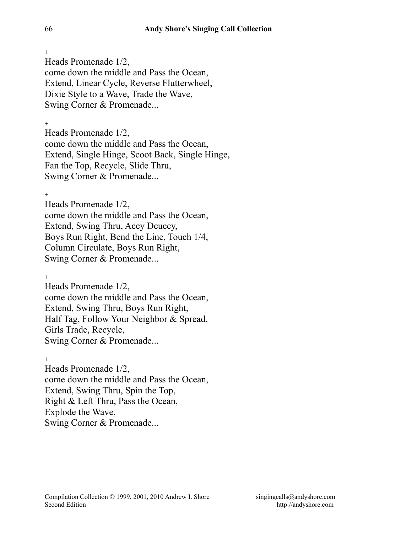Heads Promenade 1/2, come down the middle and Pass the Ocean, Extend, Linear Cycle, Reverse Flutterwheel, Dixie Style to a Wave, Trade the Wave, Swing Corner & Promenade...

+

Heads Promenade 1/2, come down the middle and Pass the Ocean, Extend, Single Hinge, Scoot Back, Single Hinge, Fan the Top, Recycle, Slide Thru, Swing Corner & Promenade...

+

Heads Promenade 1/2, come down the middle and Pass the Ocean, Extend, Swing Thru, Acey Deucey, Boys Run Right, Bend the Line, Touch 1/4, Column Circulate, Boys Run Right, Swing Corner & Promenade...

 $+$ Heads Promenade 1/2, come down the middle and Pass the Ocean, Extend, Swing Thru, Boys Run Right, Half Tag, Follow Your Neighbor & Spread, Girls Trade, Recycle, Swing Corner & Promenade...

 $+$ Heads Promenade 1/2, come down the middle and Pass the Ocean, Extend, Swing Thru, Spin the Top, Right & Left Thru, Pass the Ocean, Explode the Wave, Swing Corner & Promenade...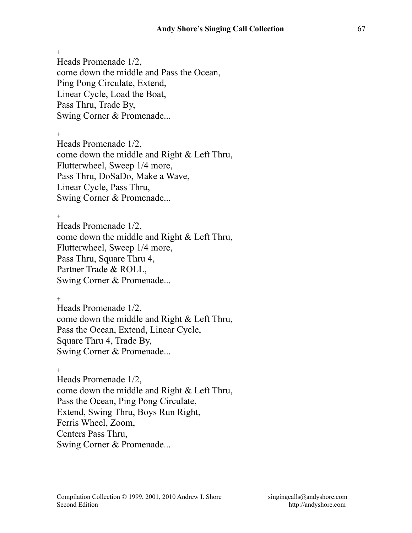$+$ Heads Promenade 1/2, come down the middle and Pass the Ocean, Ping Pong Circulate, Extend, Linear Cycle, Load the Boat, Pass Thru, Trade By, Swing Corner & Promenade...

 $+$ Heads Promenade 1/2, come down the middle and Right & Left Thru, Flutterwheel, Sweep 1/4 more, Pass Thru, DoSaDo, Make a Wave, Linear Cycle, Pass Thru, Swing Corner & Promenade...

 $+$ Heads Promenade 1/2, come down the middle and Right & Left Thru, Flutterwheel, Sweep 1/4 more, Pass Thru, Square Thru 4, Partner Trade & ROLL, Swing Corner & Promenade...

 $+$ Heads Promenade 1/2, come down the middle and Right & Left Thru, Pass the Ocean, Extend, Linear Cycle, Square Thru 4, Trade By, Swing Corner & Promenade...

 $+$ Heads Promenade 1/2, come down the middle and Right & Left Thru, Pass the Ocean, Ping Pong Circulate, Extend, Swing Thru, Boys Run Right, Ferris Wheel, Zoom, Centers Pass Thru, Swing Corner & Promenade...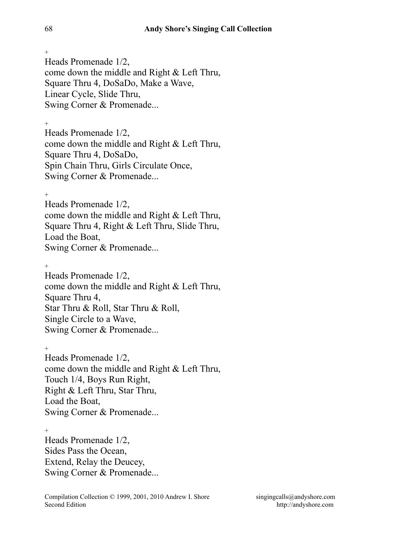Heads Promenade 1/2, come down the middle and Right & Left Thru, Square Thru 4, DoSaDo, Make a Wave, Linear Cycle, Slide Thru, Swing Corner & Promenade...

+ Heads Promenade 1/2, come down the middle and Right & Left Thru, Square Thru 4, DoSaDo, Spin Chain Thru, Girls Circulate Once, Swing Corner & Promenade...

+

Heads Promenade 1/2, come down the middle and Right & Left Thru, Square Thru 4, Right & Left Thru, Slide Thru, Load the Boat, Swing Corner & Promenade...

+

Heads Promenade 1/2, come down the middle and Right & Left Thru, Square Thru 4, Star Thru & Roll, Star Thru & Roll, Single Circle to a Wave, Swing Corner & Promenade...

 $+$ Heads Promenade 1/2, come down the middle and Right & Left Thru, Touch 1/4, Boys Run Right, Right & Left Thru, Star Thru, Load the Boat, Swing Corner & Promenade...

 $+$ Heads Promenade 1/2, Sides Pass the Ocean, Extend, Relay the Deucey, Swing Corner & Promenade...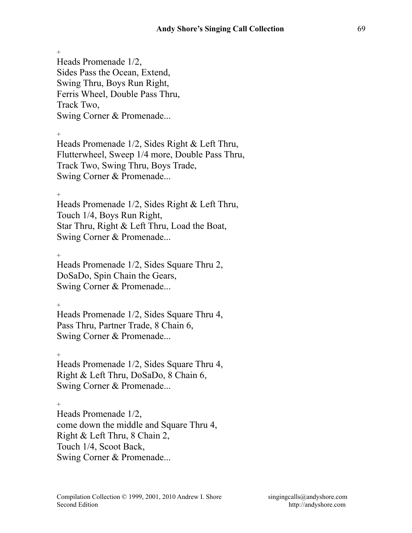$+$ Heads Promenade 1/2, Sides Pass the Ocean, Extend, Swing Thru, Boys Run Right, Ferris Wheel, Double Pass Thru, Track Two, Swing Corner & Promenade...

 $^{+}$ 

Heads Promenade 1/2, Sides Right & Left Thru, Flutterwheel, Sweep 1/4 more, Double Pass Thru, Track Two, Swing Thru, Boys Trade, Swing Corner & Promenade...

+

Heads Promenade 1/2, Sides Right & Left Thru, Touch 1/4, Boys Run Right, Star Thru, Right & Left Thru, Load the Boat, Swing Corner & Promenade...

+

Heads Promenade 1/2, Sides Square Thru 2, DoSaDo, Spin Chain the Gears, Swing Corner & Promenade...

 $+$ 

Heads Promenade 1/2, Sides Square Thru 4, Pass Thru, Partner Trade, 8 Chain 6, Swing Corner & Promenade...

+ Heads Promenade 1/2, Sides Square Thru 4, Right & Left Thru, DoSaDo, 8 Chain 6, Swing Corner & Promenade...

 $+$ 

Heads Promenade 1/2, come down the middle and Square Thru 4, Right & Left Thru, 8 Chain 2, Touch 1/4, Scoot Back, Swing Corner & Promenade...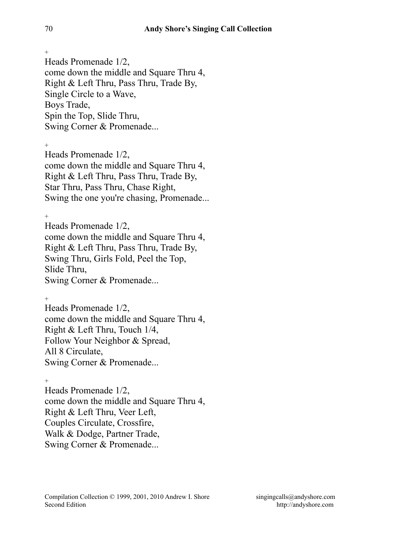Heads Promenade 1/2, come down the middle and Square Thru 4, Right & Left Thru, Pass Thru, Trade By, Single Circle to a Wave, Boys Trade, Spin the Top, Slide Thru, Swing Corner & Promenade...

 $+$ 

Heads Promenade 1/2, come down the middle and Square Thru 4, Right & Left Thru, Pass Thru, Trade By, Star Thru, Pass Thru, Chase Right, Swing the one you're chasing, Promenade...

 $+$ Heads Promenade 1/2, come down the middle and Square Thru 4, Right & Left Thru, Pass Thru, Trade By, Swing Thru, Girls Fold, Peel the Top, Slide Thru, Swing Corner & Promenade...

 $+$ Heads Promenade 1/2, come down the middle and Square Thru 4, Right & Left Thru, Touch 1/4, Follow Your Neighbor & Spread, All 8 Circulate, Swing Corner & Promenade...

 $\pm$ Heads Promenade 1/2, come down the middle and Square Thru 4, Right & Left Thru, Veer Left, Couples Circulate, Crossfire, Walk & Dodge, Partner Trade, Swing Corner & Promenade...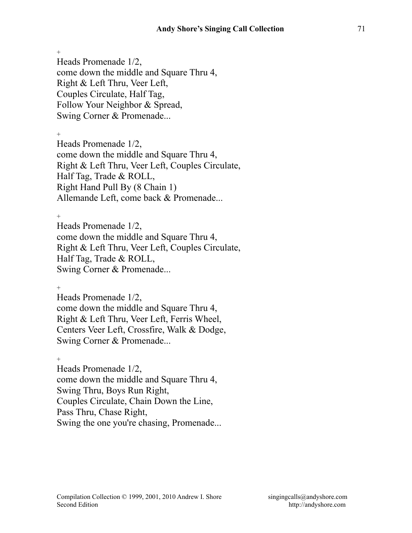Heads Promenade 1/2, come down the middle and Square Thru 4, Right & Left Thru, Veer Left, Couples Circulate, Half Tag, Follow Your Neighbor & Spread, Swing Corner & Promenade...

 $+$ 

Heads Promenade 1/2, come down the middle and Square Thru 4, Right & Left Thru, Veer Left, Couples Circulate, Half Tag, Trade & ROLL, Right Hand Pull By (8 Chain 1) Allemande Left, come back & Promenade...

 $+$ 

Heads Promenade 1/2, come down the middle and Square Thru 4, Right & Left Thru, Veer Left, Couples Circulate, Half Tag, Trade & ROLL, Swing Corner & Promenade...

+

Heads Promenade 1/2, come down the middle and Square Thru 4, Right & Left Thru, Veer Left, Ferris Wheel, Centers Veer Left, Crossfire, Walk & Dodge, Swing Corner & Promenade...

 $+$ Heads Promenade 1/2, come down the middle and Square Thru 4, Swing Thru, Boys Run Right, Couples Circulate, Chain Down the Line, Pass Thru, Chase Right, Swing the one you're chasing, Promenade...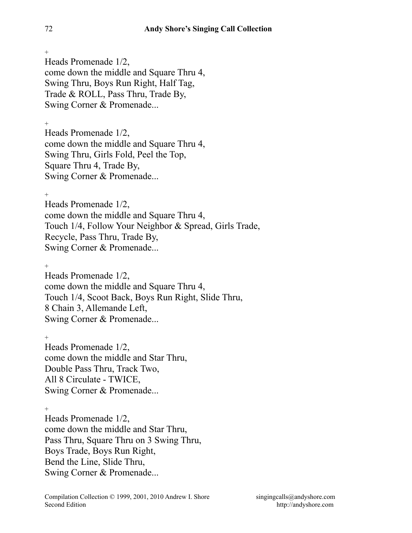Heads Promenade 1/2, come down the middle and Square Thru 4, Swing Thru, Boys Run Right, Half Tag, Trade & ROLL, Pass Thru, Trade By, Swing Corner & Promenade...

+

Heads Promenade 1/2, come down the middle and Square Thru 4, Swing Thru, Girls Fold, Peel the Top, Square Thru 4, Trade By, Swing Corner & Promenade...

+

Heads Promenade 1/2, come down the middle and Square Thru 4, Touch 1/4, Follow Your Neighbor & Spread, Girls Trade, Recycle, Pass Thru, Trade By, Swing Corner & Promenade...

+

Heads Promenade 1/2, come down the middle and Square Thru 4, Touch 1/4, Scoot Back, Boys Run Right, Slide Thru, 8 Chain 3, Allemande Left, Swing Corner & Promenade...

+ Heads Promenade 1/2, come down the middle and Star Thru, Double Pass Thru, Track Two, All 8 Circulate - TWICE, Swing Corner & Promenade...

+

Heads Promenade 1/2, come down the middle and Star Thru, Pass Thru, Square Thru on 3 Swing Thru, Boys Trade, Boys Run Right, Bend the Line, Slide Thru, Swing Corner & Promenade...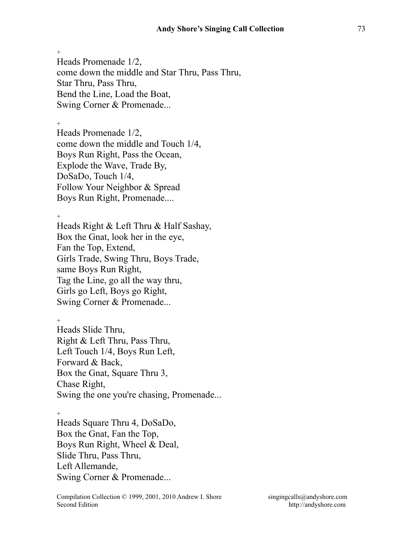Heads Promenade 1/2, come down the middle and Star Thru, Pass Thru, Star Thru, Pass Thru, Bend the Line, Load the Boat, Swing Corner & Promenade...

+

Heads Promenade 1/2, come down the middle and Touch 1/4, Boys Run Right, Pass the Ocean, Explode the Wave, Trade By, DoSaDo, Touch 1/4, Follow Your Neighbor & Spread Boys Run Right, Promenade....

 $+$ 

Heads Right & Left Thru & Half Sashay, Box the Gnat, look her in the eye, Fan the Top, Extend, Girls Trade, Swing Thru, Boys Trade, same Boys Run Right, Tag the Line, go all the way thru, Girls go Left, Boys go Right, Swing Corner & Promenade...

 $+$ 

Heads Slide Thru, Right & Left Thru, Pass Thru, Left Touch 1/4, Boys Run Left, Forward & Back, Box the Gnat, Square Thru 3, Chase Right, Swing the one you're chasing, Promenade...

 $+$ 

Heads Square Thru 4, DoSaDo, Box the Gnat, Fan the Top, Boys Run Right, Wheel & Deal, Slide Thru, Pass Thru, Left Allemande, Swing Corner & Promenade...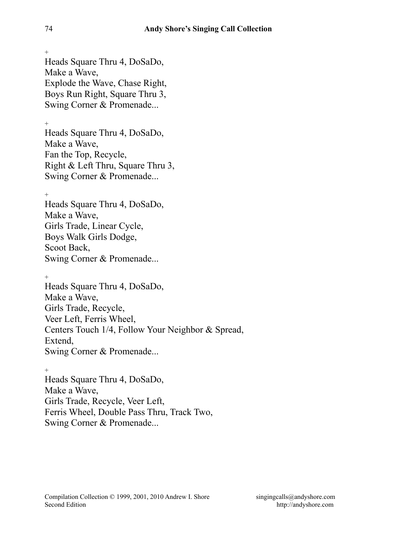$+$ Heads Square Thru 4, DoSaDo, Make a Wave, Explode the Wave, Chase Right, Boys Run Right, Square Thru 3, Swing Corner & Promenade...

+

Heads Square Thru 4, DoSaDo, Make a Wave, Fan the Top, Recycle, Right & Left Thru, Square Thru 3, Swing Corner & Promenade...

+

Heads Square Thru 4, DoSaDo, Make a Wave, Girls Trade, Linear Cycle, Boys Walk Girls Dodge, Scoot Back, Swing Corner & Promenade...

 $+$ Heads Square Thru 4, DoSaDo, Make a Wave, Girls Trade, Recycle, Veer Left, Ferris Wheel, Centers Touch 1/4, Follow Your Neighbor & Spread, Extend, Swing Corner & Promenade...

 $+$ Heads Square Thru 4, DoSaDo, Make a Wave, Girls Trade, Recycle, Veer Left, Ferris Wheel, Double Pass Thru, Track Two, Swing Corner & Promenade...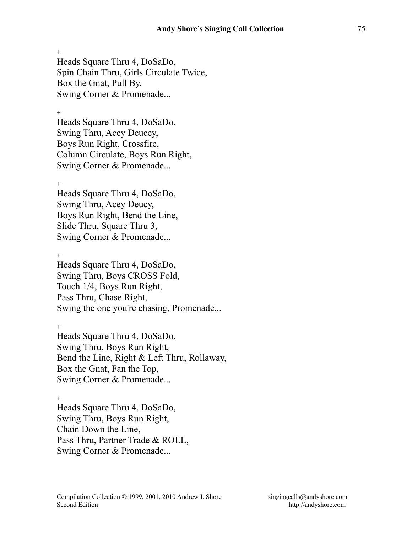$+$ Heads Square Thru 4, DoSaDo, Spin Chain Thru, Girls Circulate Twice, Box the Gnat, Pull By, Swing Corner & Promenade...

+ Heads Square Thru 4, DoSaDo, Swing Thru, Acey Deucey,

Boys Run Right, Crossfire, Column Circulate, Boys Run Right, Swing Corner & Promenade...

+

Heads Square Thru 4, DoSaDo, Swing Thru, Acey Deucy, Boys Run Right, Bend the Line, Slide Thru, Square Thru 3, Swing Corner & Promenade...

+

Heads Square Thru 4, DoSaDo, Swing Thru, Boys CROSS Fold, Touch 1/4, Boys Run Right, Pass Thru, Chase Right, Swing the one you're chasing, Promenade...

+

Heads Square Thru 4, DoSaDo, Swing Thru, Boys Run Right, Bend the Line, Right & Left Thru, Rollaway, Box the Gnat, Fan the Top, Swing Corner & Promenade...

 $+$ 

Heads Square Thru 4, DoSaDo, Swing Thru, Boys Run Right, Chain Down the Line, Pass Thru, Partner Trade & ROLL, Swing Corner & Promenade...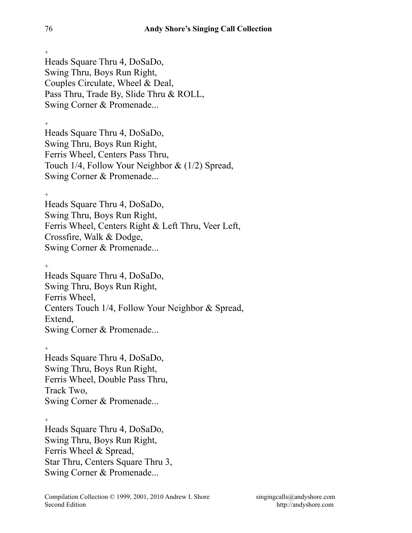Heads Square Thru 4, DoSaDo, Swing Thru, Boys Run Right, Couples Circulate, Wheel & Deal, Pass Thru, Trade By, Slide Thru & ROLL, Swing Corner & Promenade...

+ Heads Square Thru 4, DoSaDo, Swing Thru, Boys Run Right, Ferris Wheel, Centers Pass Thru, Touch 1/4, Follow Your Neighbor & (1/2) Spread, Swing Corner & Promenade...

+ Heads Square Thru 4, DoSaDo, Swing Thru, Boys Run Right, Ferris Wheel, Centers Right & Left Thru, Veer Left, Crossfire, Walk & Dodge, Swing Corner & Promenade...

+ Heads Square Thru 4, DoSaDo, Swing Thru, Boys Run Right, Ferris Wheel, Centers Touch 1/4, Follow Your Neighbor & Spread, Extend, Swing Corner & Promenade...

+ Heads Square Thru 4, DoSaDo, Swing Thru, Boys Run Right, Ferris Wheel, Double Pass Thru, Track Two, Swing Corner & Promenade...

 $+$ Heads Square Thru 4, DoSaDo, Swing Thru, Boys Run Right, Ferris Wheel & Spread, Star Thru, Centers Square Thru 3, Swing Corner & Promenade...

 $+$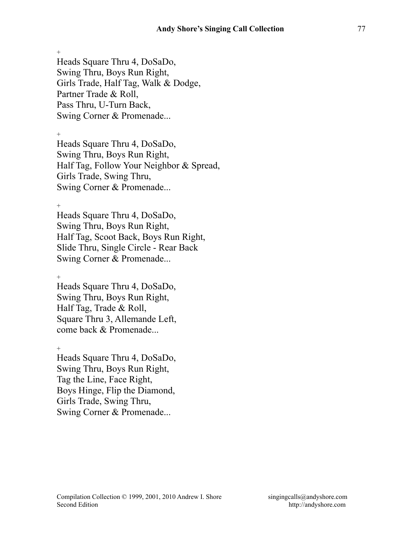Heads Square Thru 4, DoSaDo, Swing Thru, Boys Run Right, Girls Trade, Half Tag, Walk & Dodge, Partner Trade & Roll, Pass Thru, U-Turn Back, Swing Corner & Promenade...

 $^{+}$ 

Heads Square Thru 4, DoSaDo, Swing Thru, Boys Run Right, Half Tag, Follow Your Neighbor & Spread, Girls Trade, Swing Thru, Swing Corner & Promenade...

 $^{+}$ 

Heads Square Thru 4, DoSaDo, Swing Thru, Boys Run Right, Half Tag, Scoot Back, Boys Run Right, Slide Thru, Single Circle - Rear Back Swing Corner & Promenade...

 $+$ 

Heads Square Thru 4, DoSaDo, Swing Thru, Boys Run Right, Half Tag, Trade & Roll, Square Thru 3, Allemande Left, come back & Promenade...

 $+$ Heads Square Thru 4, DoSaDo, Swing Thru, Boys Run Right, Tag the Line, Face Right, Boys Hinge, Flip the Diamond, Girls Trade, Swing Thru, Swing Corner & Promenade...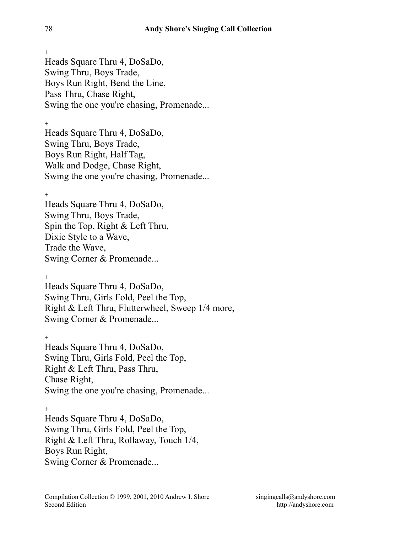Heads Square Thru 4, DoSaDo, Swing Thru, Boys Trade, Boys Run Right, Bend the Line, Pass Thru, Chase Right, Swing the one you're chasing, Promenade...

+ Heads Square Thru 4, DoSaDo, Swing Thru, Boys Trade, Boys Run Right, Half Tag, Walk and Dodge, Chase Right, Swing the one you're chasing, Promenade...

+

Heads Square Thru 4, DoSaDo, Swing Thru, Boys Trade, Spin the Top, Right & Left Thru, Dixie Style to a Wave, Trade the Wave, Swing Corner & Promenade...

 $+$ 

Heads Square Thru 4, DoSaDo, Swing Thru, Girls Fold, Peel the Top, Right & Left Thru, Flutterwheel, Sweep 1/4 more, Swing Corner & Promenade...

+ Heads Square Thru 4, DoSaDo, Swing Thru, Girls Fold, Peel the Top, Right & Left Thru, Pass Thru, Chase Right, Swing the one you're chasing, Promenade...

+ Heads Square Thru 4, DoSaDo, Swing Thru, Girls Fold, Peel the Top, Right & Left Thru, Rollaway, Touch 1/4, Boys Run Right, Swing Corner & Promenade...

 $+$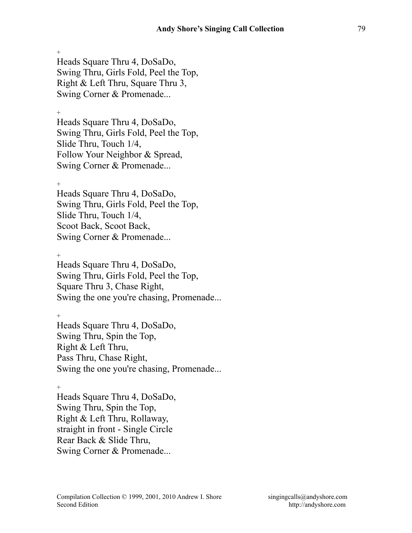Heads Square Thru 4, DoSaDo, Swing Thru, Girls Fold, Peel the Top, Right & Left Thru, Square Thru 3, Swing Corner & Promenade...

+

Heads Square Thru 4, DoSaDo, Swing Thru, Girls Fold, Peel the Top, Slide Thru, Touch 1/4, Follow Your Neighbor & Spread, Swing Corner & Promenade...

+

Heads Square Thru 4, DoSaDo, Swing Thru, Girls Fold, Peel the Top, Slide Thru, Touch 1/4, Scoot Back, Scoot Back, Swing Corner & Promenade...

+

Heads Square Thru 4, DoSaDo, Swing Thru, Girls Fold, Peel the Top, Square Thru 3, Chase Right, Swing the one you're chasing, Promenade...

 $+$ 

Heads Square Thru 4, DoSaDo, Swing Thru, Spin the Top, Right & Left Thru, Pass Thru, Chase Right, Swing the one you're chasing, Promenade...

+

Heads Square Thru 4, DoSaDo, Swing Thru, Spin the Top, Right & Left Thru, Rollaway, straight in front - Single Circle Rear Back & Slide Thru, Swing Corner & Promenade...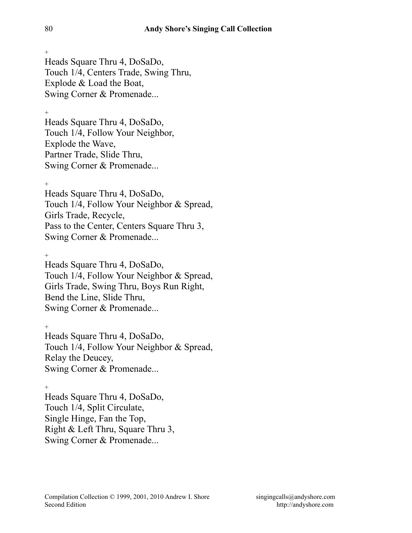+ Heads Square Thru 4, DoSaDo, Touch 1/4, Centers Trade, Swing Thru, Explode & Load the Boat, Swing Corner & Promenade...

+ Heads Square Thru 4, DoSaDo, Touch 1/4, Follow Your Neighbor, Explode the Wave, Partner Trade, Slide Thru, Swing Corner & Promenade...

+ Heads Square Thru 4, DoSaDo, Touch 1/4, Follow Your Neighbor & Spread, Girls Trade, Recycle, Pass to the Center, Centers Square Thru 3, Swing Corner & Promenade...

 $^{+}$ Heads Square Thru 4, DoSaDo, Touch 1/4, Follow Your Neighbor & Spread, Girls Trade, Swing Thru, Boys Run Right, Bend the Line, Slide Thru, Swing Corner & Promenade...

+ Heads Square Thru 4, DoSaDo, Touch 1/4, Follow Your Neighbor & Spread, Relay the Deucey, Swing Corner & Promenade...

+ Heads Square Thru 4, DoSaDo, Touch 1/4, Split Circulate, Single Hinge, Fan the Top, Right & Left Thru, Square Thru 3, Swing Corner & Promenade...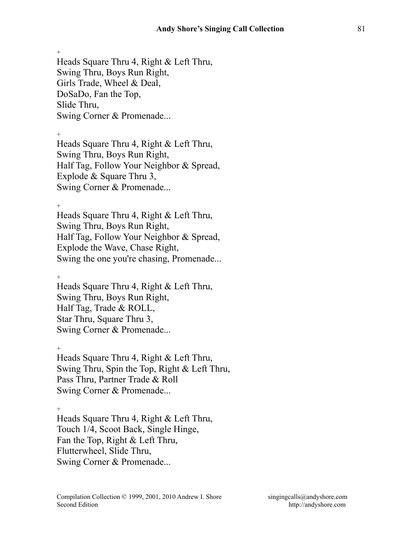$+$ Heads Square Thru 4, Right & Left Thru, Swing Thru, Boys Run Right, Girls Trade, Wheel & Deal, DoSaDo, Fan the Top, Slide Thru, Swing Corner & Promenade...

 $^{+}$ Heads Square Thru 4, Right & Left Thru, Swing Thru, Boys Run Right, Half Tag, Follow Your Neighbor & Spread, Explode & Square Thru 3, Swing Corner & Promenade...

 $+$ Heads Square Thru 4, Right & Left Thru, Swing Thru, Boys Run Right, Half Tag, Follow Your Neighbor & Spread, Explode the Wave, Chase Right, Swing the one you're chasing, Promenade...

+ Heads Square Thru 4, Right & Left Thru, Swing Thru, Boys Run Right, Half Tag, Trade & ROLL, Star Thru, Square Thru 3, Swing Corner & Promenade...

 $+$ Heads Square Thru 4, Right & Left Thru, Swing Thru, Spin the Top, Right & Left Thru, Pass Thru, Partner Trade & Roll Swing Corner & Promenade...

+

Heads Square Thru 4, Right & Left Thru, Touch 1/4, Scoot Back, Single Hinge, Fan the Top, Right & Left Thru, Flutterwheel, Slide Thru, Swing Corner & Promenade...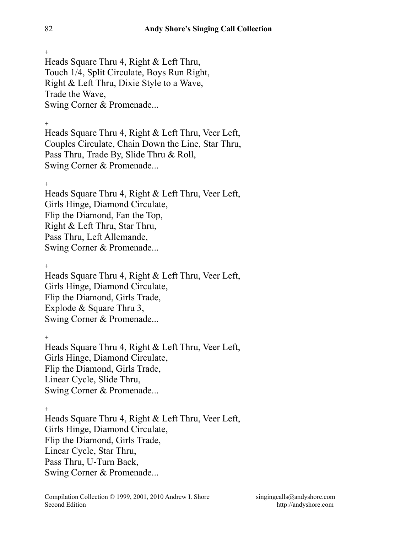Heads Square Thru 4, Right & Left Thru, Touch 1/4, Split Circulate, Boys Run Right, Right & Left Thru, Dixie Style to a Wave, Trade the Wave, Swing Corner & Promenade...

+ Heads Square Thru 4, Right & Left Thru, Veer Left, Couples Circulate, Chain Down the Line, Star Thru, Pass Thru, Trade By, Slide Thru & Roll, Swing Corner & Promenade...

+

Heads Square Thru 4, Right & Left Thru, Veer Left, Girls Hinge, Diamond Circulate, Flip the Diamond, Fan the Top, Right & Left Thru, Star Thru, Pass Thru, Left Allemande, Swing Corner & Promenade...

+ Heads Square Thru 4, Right & Left Thru, Veer Left, Girls Hinge, Diamond Circulate, Flip the Diamond, Girls Trade, Explode & Square Thru 3, Swing Corner & Promenade...

+ Heads Square Thru 4, Right & Left Thru, Veer Left, Girls Hinge, Diamond Circulate, Flip the Diamond, Girls Trade, Linear Cycle, Slide Thru, Swing Corner & Promenade...

+ Heads Square Thru 4, Right & Left Thru, Veer Left, Girls Hinge, Diamond Circulate, Flip the Diamond, Girls Trade, Linear Cycle, Star Thru, Pass Thru, U-Turn Back, Swing Corner & Promenade...

 $+$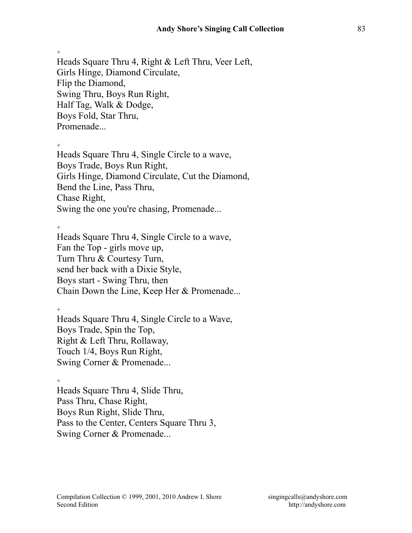Heads Square Thru 4, Right & Left Thru, Veer Left, Girls Hinge, Diamond Circulate, Flip the Diamond, Swing Thru, Boys Run Right, Half Tag, Walk & Dodge, Boys Fold, Star Thru, Promenade...

 $\pm$ 

Heads Square Thru 4, Single Circle to a wave, Boys Trade, Boys Run Right, Girls Hinge, Diamond Circulate, Cut the Diamond, Bend the Line, Pass Thru, Chase Right, Swing the one you're chasing, Promenade...

+

Heads Square Thru 4, Single Circle to a wave, Fan the Top - girls move up, Turn Thru & Courtesy Turn, send her back with a Dixie Style, Boys start - Swing Thru, then Chain Down the Line, Keep Her & Promenade...

+

Heads Square Thru 4, Single Circle to a Wave, Boys Trade, Spin the Top, Right & Left Thru, Rollaway, Touch 1/4, Boys Run Right, Swing Corner & Promenade...

+ Heads Square Thru 4, Slide Thru, Pass Thru, Chase Right, Boys Run Right, Slide Thru, Pass to the Center, Centers Square Thru 3, Swing Corner & Promenade...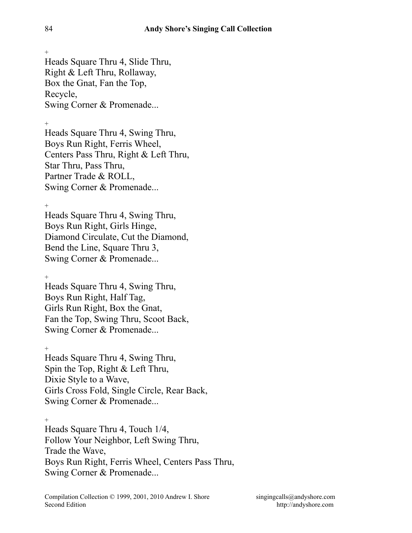+ Heads Square Thru 4, Slide Thru, Right & Left Thru, Rollaway, Box the Gnat, Fan the Top, Recycle, Swing Corner & Promenade...

+

Heads Square Thru 4, Swing Thru, Boys Run Right, Ferris Wheel, Centers Pass Thru, Right & Left Thru, Star Thru, Pass Thru, Partner Trade & ROLL, Swing Corner & Promenade...

 $+$ Heads Square Thru 4, Swing Thru, Boys Run Right, Girls Hinge, Diamond Circulate, Cut the Diamond, Bend the Line, Square Thru 3, Swing Corner & Promenade...

+ Heads Square Thru 4, Swing Thru, Boys Run Right, Half Tag, Girls Run Right, Box the Gnat, Fan the Top, Swing Thru, Scoot Back, Swing Corner & Promenade...

+ Heads Square Thru 4, Swing Thru, Spin the Top, Right & Left Thru, Dixie Style to a Wave, Girls Cross Fold, Single Circle, Rear Back, Swing Corner & Promenade...

+ Heads Square Thru 4, Touch 1/4, Follow Your Neighbor, Left Swing Thru, Trade the Wave, Boys Run Right, Ferris Wheel, Centers Pass Thru, Swing Corner & Promenade...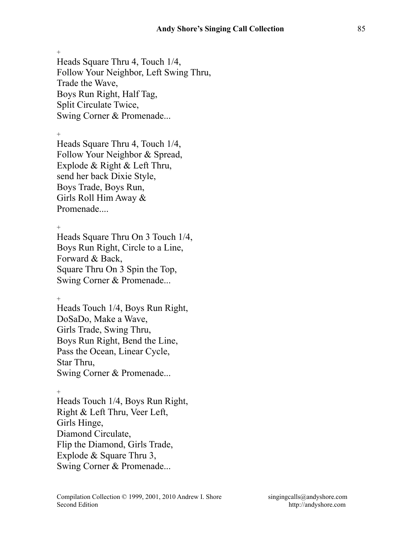$+$ Heads Square Thru 4, Touch 1/4, Follow Your Neighbor, Left Swing Thru, Trade the Wave, Boys Run Right, Half Tag,

Split Circulate Twice,

Swing Corner & Promenade...

 $^{+}$ 

Heads Square Thru 4, Touch 1/4, Follow Your Neighbor & Spread, Explode & Right & Left Thru, send her back Dixie Style, Boys Trade, Boys Run, Girls Roll Him Away & Promenade....

+

Heads Square Thru On 3 Touch 1/4, Boys Run Right, Circle to a Line, Forward & Back, Square Thru On 3 Spin the Top, Swing Corner & Promenade...

 $+$ 

Heads Touch 1/4, Boys Run Right, DoSaDo, Make a Wave, Girls Trade, Swing Thru, Boys Run Right, Bend the Line, Pass the Ocean, Linear Cycle, Star Thru, Swing Corner & Promenade...

+

Heads Touch 1/4, Boys Run Right, Right & Left Thru, Veer Left, Girls Hinge, Diamond Circulate, Flip the Diamond, Girls Trade, Explode & Square Thru 3, Swing Corner & Promenade...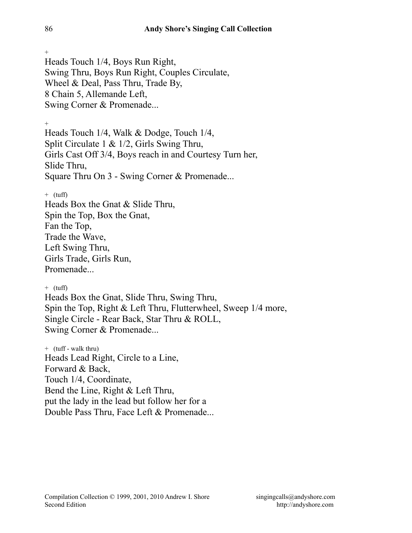Heads Touch 1/4, Boys Run Right, Swing Thru, Boys Run Right, Couples Circulate, Wheel & Deal, Pass Thru, Trade By, 8 Chain 5, Allemande Left, Swing Corner & Promenade...

+

Heads Touch 1/4, Walk & Dodge, Touch 1/4, Split Circulate 1 & 1/2, Girls Swing Thru, Girls Cast Off 3/4, Boys reach in and Courtesy Turn her, Slide Thru, Square Thru On 3 - Swing Corner & Promenade...

 $+$  (tuff)

Heads Box the Gnat & Slide Thru, Spin the Top, Box the Gnat, Fan the Top, Trade the Wave, Left Swing Thru, Girls Trade, Girls Run, Promenade...

 $+$  (tuff)

Heads Box the Gnat, Slide Thru, Swing Thru, Spin the Top, Right & Left Thru, Flutterwheel, Sweep 1/4 more, Single Circle - Rear Back, Star Thru & ROLL, Swing Corner & Promenade...

+ (tuff - walk thru) Heads Lead Right, Circle to a Line, Forward & Back, Touch 1/4, Coordinate, Bend the Line, Right & Left Thru, put the lady in the lead but follow her for a Double Pass Thru, Face Left & Promenade...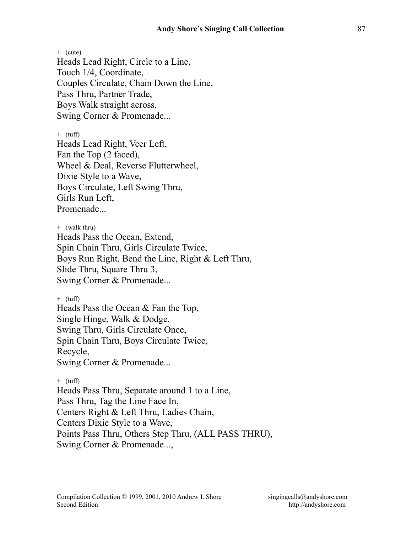$+$  (cute) Heads Lead Right, Circle to a Line, Touch 1/4, Coordinate, Couples Circulate, Chain Down the Line, Pass Thru, Partner Trade, Boys Walk straight across, Swing Corner & Promenade...

 $+$  (tuff)

Heads Lead Right, Veer Left, Fan the Top (2 faced), Wheel & Deal, Reverse Flutterwheel, Dixie Style to a Wave, Boys Circulate, Left Swing Thru, Girls Run Left, Promenade...

+ (walk thru) Heads Pass the Ocean, Extend, Spin Chain Thru, Girls Circulate Twice, Boys Run Right, Bend the Line, Right & Left Thru, Slide Thru, Square Thru 3, Swing Corner & Promenade...

 $+$  (tuff)

Heads Pass the Ocean & Fan the Top, Single Hinge, Walk & Dodge, Swing Thru, Girls Circulate Once, Spin Chain Thru, Boys Circulate Twice, Recycle, Swing Corner & Promenade...

 $+$  (tuff) Heads Pass Thru, Separate around 1 to a Line, Pass Thru, Tag the Line Face In, Centers Right & Left Thru, Ladies Chain, Centers Dixie Style to a Wave, Points Pass Thru, Others Step Thru, (ALL PASS THRU), Swing Corner & Promenade...,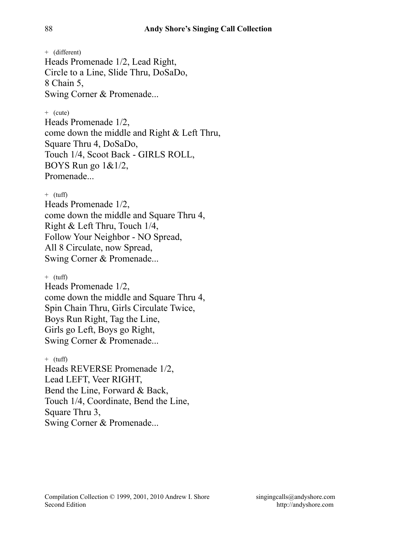+ (different) Heads Promenade 1/2, Lead Right, Circle to a Line, Slide Thru, DoSaDo, 8 Chain 5, Swing Corner & Promenade...

### $+$  (cute)

Heads Promenade 1/2, come down the middle and Right & Left Thru, Square Thru 4, DoSaDo, Touch 1/4, Scoot Back - GIRLS ROLL, BOYS Run go 1&1/2, Promenade

#### $+$  (tuff)

Heads Promenade 1/2, come down the middle and Square Thru 4, Right & Left Thru, Touch 1/4, Follow Your Neighbor - NO Spread, All 8 Circulate, now Spread, Swing Corner & Promenade...

 $+$  (tuff)

Heads Promenade 1/2, come down the middle and Square Thru 4, Spin Chain Thru, Girls Circulate Twice, Boys Run Right, Tag the Line, Girls go Left, Boys go Right, Swing Corner & Promenade...

 $+$  (tuff) Heads REVERSE Promenade 1/2, Lead LEFT, Veer RIGHT, Bend the Line, Forward & Back, Touch 1/4, Coordinate, Bend the Line, Square Thru 3, Swing Corner & Promenade...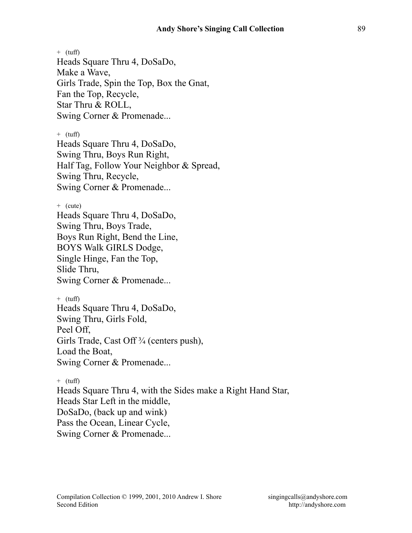$+$  (tuff) Heads Square Thru 4, DoSaDo, Make a Wave, Girls Trade, Spin the Top, Box the Gnat, Fan the Top, Recycle, Star Thru & ROLL, Swing Corner & Promenade...

 $+$  (tuff) Heads Square Thru 4, DoSaDo, Swing Thru, Boys Run Right, Half Tag, Follow Your Neighbor & Spread, Swing Thru, Recycle, Swing Corner & Promenade...

```
+ (cute) 
Heads Square Thru 4, DoSaDo, 
Swing Thru, Boys Trade, 
Boys Run Right, Bend the Line, 
BOYS Walk GIRLS Dodge, 
Single Hinge, Fan the Top, 
Slide Thru, 
Swing Corner & Promenade...
```
 $+$  (tuff) Heads Square Thru 4, DoSaDo, Swing Thru, Girls Fold, Peel Off, Girls Trade, Cast Off<sup>3</sup>/<sub>4</sub> (centers push), Load the Boat, Swing Corner & Promenade...

 $+$  (tuff) Heads Square Thru 4, with the Sides make a Right Hand Star, Heads Star Left in the middle, DoSaDo, (back up and wink) Pass the Ocean, Linear Cycle, Swing Corner & Promenade...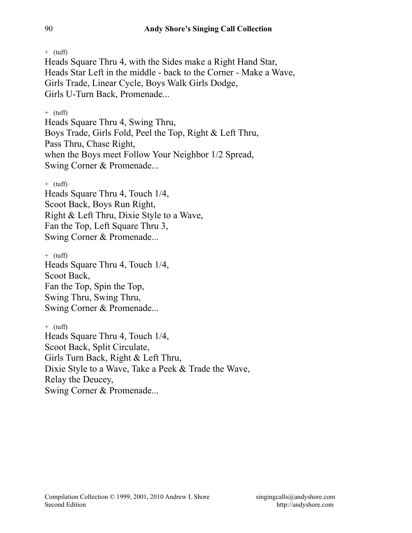$+$  (tuff)

Heads Square Thru 4, with the Sides make a Right Hand Star, Heads Star Left in the middle - back to the Corner - Make a Wave, Girls Trade, Linear Cycle, Boys Walk Girls Dodge, Girls U-Turn Back, Promenade...

 $+$  (tuff)

Heads Square Thru 4, Swing Thru, Boys Trade, Girls Fold, Peel the Top, Right & Left Thru, Pass Thru, Chase Right, when the Boys meet Follow Your Neighbor 1/2 Spread, Swing Corner & Promenade...

 $+$  (tuff)

Heads Square Thru 4, Touch 1/4, Scoot Back, Boys Run Right, Right & Left Thru, Dixie Style to a Wave, Fan the Top, Left Square Thru 3, Swing Corner & Promenade...

 $+$  (tuff) Heads Square Thru 4, Touch 1/4, Scoot Back, Fan the Top, Spin the Top, Swing Thru, Swing Thru, Swing Corner & Promenade...

 $+$  (tuff) Heads Square Thru 4, Touch 1/4, Scoot Back, Split Circulate, Girls Turn Back, Right & Left Thru, Dixie Style to a Wave, Take a Peek & Trade the Wave, Relay the Deucey, Swing Corner & Promenade...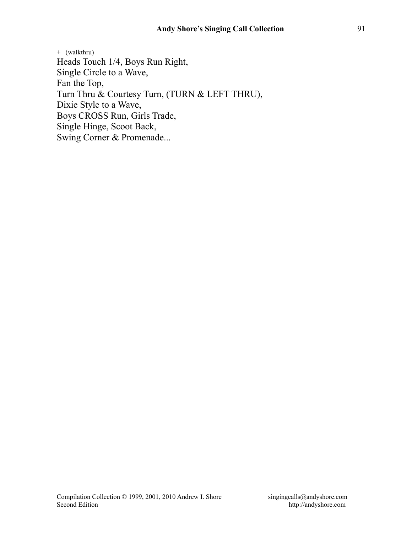+ (walkthru) Heads Touch 1/4, Boys Run Right, Single Circle to a Wave, Fan the Top, Turn Thru & Courtesy Turn, (TURN & LEFT THRU), Dixie Style to a Wave, Boys CROSS Run, Girls Trade, Single Hinge, Scoot Back, Swing Corner & Promenade...